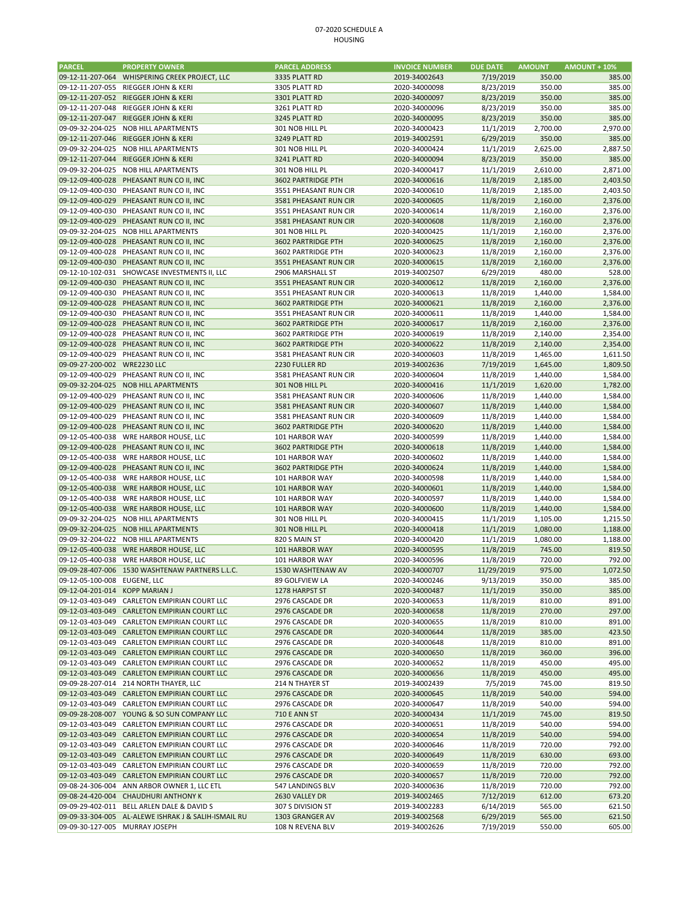## 07‐2020 SCHEDULE A HOUSING

| <b>PARCEL</b>                | <b>PROPERTY OWNER</b>                           | <b>PARCEL ADDRESS</b> | <b>INVOICE NUMBER</b> | <b>DUE DATE</b> | <b>AMOUNT</b> | $AMOUNT + 10%$ |
|------------------------------|-------------------------------------------------|-----------------------|-----------------------|-----------------|---------------|----------------|
|                              | 09-12-11-207-064 WHISPERING CREEK PROJECT, LLC  | 3335 PLATT RD         | 2019-34002643         | 7/19/2019       | 350.00        | 385.00         |
| 09-12-11-207-055             | RIEGGER JOHN & KERI                             | 3305 PLATT RD         | 2020-34000098         | 8/23/2019       | 350.00        | 385.00         |
| 09-12-11-207-052             | RIEGGER JOHN & KERI                             | 3301 PLATT RD         | 2020-34000097         | 8/23/2019       | 350.00        | 385.00         |
| 09-12-11-207-048             | RIEGGER JOHN & KERI                             | 3261 PLATT RD         | 2020-34000096         | 8/23/2019       | 350.00        | 385.00         |
| 09-12-11-207-047             | RIEGGER JOHN & KERI                             | 3245 PLATT RD         | 2020-34000095         | 8/23/2019       | 350.00        | 385.00         |
| 09-09-32-204-025             | <b>NOB HILL APARTMENTS</b>                      | 301 NOB HILL PL       | 2020-34000423         | 11/1/2019       | 2,700.00      | 2,970.00       |
|                              | 09-12-11-207-046 RIEGGER JOHN & KERI            | 3249 PLATT RD         | 2019-34002591         | 6/29/2019       | 350.00        | 385.00         |
| 09-09-32-204-025             | <b>NOB HILL APARTMENTS</b>                      | 301 NOB HILL PL       | 2020-34000424         | 11/1/2019       | 2,625.00      | 2,887.50       |
| 09-12-11-207-044             | RIEGGER JOHN & KERI                             | 3241 PLATT RD         | 2020-34000094         | 8/23/2019       | 350.00        | 385.00         |
|                              |                                                 |                       |                       |                 |               |                |
| 09-09-32-204-025             | NOB HILL APARTMENTS                             | 301 NOB HILL PL       | 2020-34000417         | 11/1/2019       | 2,610.00      | 2,871.00       |
| 09-12-09-400-028             | PHEASANT RUN CO II, INC                         | 3602 PARTRIDGE PTH    | 2020-34000616         | 11/8/2019       | 2,185.00      | 2,403.50       |
| 09-12-09-400-030             | PHEASANT RUN CO II, INC                         | 3551 PHEASANT RUN CIR | 2020-34000610         | 11/8/2019       | 2,185.00      | 2,403.50       |
| 09-12-09-400-029             | PHEASANT RUN CO II, INC                         | 3581 PHEASANT RUN CIR | 2020-34000605         | 11/8/2019       | 2,160.00      | 2,376.00       |
| 09-12-09-400-030             | PHEASANT RUN CO II, INC                         | 3551 PHEASANT RUN CIR | 2020-34000614         | 11/8/2019       | 2,160.00      | 2,376.00       |
| 09-12-09-400-029             | PHEASANT RUN CO II, INC                         | 3581 PHEASANT RUN CIR | 2020-34000608         | 11/8/2019       | 2,160.00      | 2,376.00       |
| 09-09-32-204-025             | <b>NOB HILL APARTMENTS</b>                      | 301 NOB HILL PL       | 2020-34000425         | 11/1/2019       | 2,160.00      | 2,376.00       |
|                              | 09-12-09-400-028 PHEASANT RUN CO II, INC        | 3602 PARTRIDGE PTH    | 2020-34000625         | 11/8/2019       | 2,160.00      | 2,376.00       |
| 09-12-09-400-028             | PHEASANT RUN CO II, INC                         | 3602 PARTRIDGE PTH    | 2020-34000623         | 11/8/2019       | 2,160.00      | 2,376.00       |
|                              | 09-12-09-400-030 PHEASANT RUN CO II, INC        | 3551 PHEASANT RUN CIR | 2020-34000615         | 11/8/2019       | 2,160.00      | 2,376.00       |
|                              | 09-12-10-102-031 SHOWCASE INVESTMENTS II, LLC   | 2906 MARSHALL ST      | 2019-34002507         | 6/29/2019       | 480.00        | 528.00         |
|                              | 09-12-09-400-030 PHEASANT RUN CO II, INC        | 3551 PHEASANT RUN CIR | 2020-34000612         | 11/8/2019       | 2,160.00      | 2,376.00       |
| 09-12-09-400-030             | PHEASANT RUN CO II, INC                         | 3551 PHEASANT RUN CIR | 2020-34000613         | 11/8/2019       | 1,440.00      | 1,584.00       |
|                              | 09-12-09-400-028 PHEASANT RUN CO II, INC        | 3602 PARTRIDGE PTH    | 2020-34000621         | 11/8/2019       | 2,160.00      | 2,376.00       |
| 09-12-09-400-030             | PHEASANT RUN CO II, INC                         | 3551 PHEASANT RUN CIR | 2020-34000611         | 11/8/2019       | 1,440.00      | 1,584.00       |
|                              | 09-12-09-400-028 PHEASANT RUN CO II, INC        |                       |                       | 11/8/2019       |               |                |
|                              |                                                 | 3602 PARTRIDGE PTH    | 2020-34000617         |                 | 2,160.00      | 2,376.00       |
| 09-12-09-400-028             | PHEASANT RUN CO II, INC                         | 3602 PARTRIDGE PTH    | 2020-34000619         | 11/8/2019       | 2,140.00      | 2,354.00       |
|                              | 09-12-09-400-028 PHEASANT RUN CO II, INC        | 3602 PARTRIDGE PTH    | 2020-34000622         | 11/8/2019       | 2,140.00      | 2,354.00       |
| 09-12-09-400-029             | PHEASANT RUN CO II, INC                         | 3581 PHEASANT RUN CIR | 2020-34000603         | 11/8/2019       | 1,465.00      | 1,611.50       |
| 09-09-27-200-002 WRE2230 LLC |                                                 | 2230 FULLER RD        | 2019-34002636         | 7/19/2019       | 1,645.00      | 1,809.50       |
| 09-12-09-400-029             | PHEASANT RUN CO II, INC                         | 3581 PHEASANT RUN CIR | 2020-34000604         | 11/8/2019       | 1,440.00      | 1,584.00       |
|                              | 09-09-32-204-025 NOB HILL APARTMENTS            | 301 NOB HILL PL       | 2020-34000416         | 11/1/2019       | 1,620.00      | 1,782.00       |
| 09-12-09-400-029             | PHEASANT RUN CO II, INC                         | 3581 PHEASANT RUN CIR | 2020-34000606         | 11/8/2019       | 1,440.00      | 1,584.00       |
| 09-12-09-400-029             | PHEASANT RUN CO II, INC                         | 3581 PHEASANT RUN CIR | 2020-34000607         | 11/8/2019       | 1,440.00      | 1,584.00       |
| 09-12-09-400-029             | PHEASANT RUN CO II, INC                         | 3581 PHEASANT RUN CIR | 2020-34000609         | 11/8/2019       | 1,440.00      | 1,584.00       |
|                              | 09-12-09-400-028 PHEASANT RUN CO II, INC        | 3602 PARTRIDGE PTH    | 2020-34000620         | 11/8/2019       | 1,440.00      | 1,584.00       |
| 09-12-05-400-038             | WRE HARBOR HOUSE, LLC                           | 101 HARBOR WAY        | 2020-34000599         | 11/8/2019       | 1,440.00      | 1,584.00       |
| 09-12-09-400-028             | PHEASANT RUN CO II, INC                         | 3602 PARTRIDGE PTH    | 2020-34000618         | 11/8/2019       | 1,440.00      | 1,584.00       |
| 09-12-05-400-038             | WRE HARBOR HOUSE, LLC                           | 101 HARBOR WAY        | 2020-34000602         | 11/8/2019       | 1,440.00      | 1,584.00       |
| 09-12-09-400-028             | PHEASANT RUN CO II, INC                         | 3602 PARTRIDGE PTH    | 2020-34000624         | 11/8/2019       | 1,440.00      | 1,584.00       |
| 09-12-05-400-038             | WRE HARBOR HOUSE, LLC                           | 101 HARBOR WAY        | 2020-34000598         | 11/8/2019       | 1,440.00      | 1,584.00       |
|                              |                                                 |                       |                       |                 |               |                |
| 09-12-05-400-038             | WRE HARBOR HOUSE, LLC                           | 101 HARBOR WAY        | 2020-34000601         | 11/8/2019       | 1,440.00      | 1,584.00       |
| 09-12-05-400-038             | WRE HARBOR HOUSE, LLC                           | 101 HARBOR WAY        | 2020-34000597         | 11/8/2019       | 1,440.00      | 1,584.00       |
| 09-12-05-400-038             | WRE HARBOR HOUSE, LLC                           | 101 HARBOR WAY        | 2020-34000600         | 11/8/2019       | 1,440.00      | 1,584.00       |
| 09-09-32-204-025             | NOB HILL APARTMENTS                             | 301 NOB HILL PL       | 2020-34000415         | 11/1/2019       | 1,105.00      | 1,215.50       |
| 09-09-32-204-025             | NOB HILL APARTMENTS                             | 301 NOB HILL PL       | 2020-34000418         | 11/1/2019       | 1,080.00      | 1,188.00       |
| 09-09-32-204-022             | <b>NOB HILL APARTMENTS</b>                      | 820 S MAIN ST         | 2020-34000420         | 11/1/2019       | 1,080.00      | 1,188.00       |
| 09-12-05-400-038             | WRE HARBOR HOUSE, LLC                           | 101 HARBOR WAY        | 2020-34000595         | 11/8/2019       | 745.00        | 819.50         |
| 09-12-05-400-038             | WRE HARBOR HOUSE, LLC                           | 101 HARBOR WAY        | 2020-34000596         | 11/8/2019       | 720.00        | 792.00         |
|                              | 09-09-28-407-006 1530 WASHTENAW PARTNERS L.L.C. | 1530 WASHTENAW AV     | 2020-34000707         | 11/29/2019      | 975.00        | 1,072.50       |
| 09-12-05-100-008             | EUGENE, LLC                                     | 89 GOLFVIEW LA        | 2020-34000246         | 9/13/2019       | 350.00        | 385.00         |
| 09-12-04-201-014             | <b>KOPP MARIAN J</b>                            | 1278 HARPST ST        | 2020-34000487         | 11/1/2019       | 350.00        | 385.00         |
| 09-12-03-403-049             | CARLETON EMPIRIAN COURT LLC                     | 2976 CASCADE DR       | 2020-34000653         | 11/8/2019       | 810.00        | 891.00         |
|                              | 09-12-03-403-049 CARLETON EMPIRIAN COURT LLC    | 2976 CASCADE DR       | 2020-34000658         | 11/8/2019       | 270.00        | 297.00         |
| 09-12-03-403-049             | CARLETON EMPIRIAN COURT LLC                     | 2976 CASCADE DR       | 2020-34000655         | 11/8/2019       | 810.00        | 891.00         |
|                              | 09-12-03-403-049 CARLETON EMPIRIAN COURT LLC    | 2976 CASCADE DR       | 2020-34000644         | 11/8/2019       | 385.00        | 423.50         |
| 09-12-03-403-049             | CARLETON EMPIRIAN COURT LLC                     | 2976 CASCADE DR       | 2020-34000648         | 11/8/2019       | 810.00        | 891.00         |
|                              | 09-12-03-403-049 CARLETON EMPIRIAN COURT LLC    | 2976 CASCADE DR       | 2020-34000650         | 11/8/2019       | 360.00        | 396.00         |
|                              |                                                 |                       |                       |                 |               |                |
| 09-12-03-403-049             | CARLETON EMPIRIAN COURT LLC                     | 2976 CASCADE DR       | 2020-34000652         | 11/8/2019       | 450.00        | 495.00         |
|                              | 09-12-03-403-049 CARLETON EMPIRIAN COURT LLC    | 2976 CASCADE DR       | 2020-34000656         | 11/8/2019       | 450.00        | 495.00         |
|                              | 09-09-28-207-014 214 NORTH THAYER, LLC          | 214 N THAYER ST       | 2019-34002439         | 7/5/2019        | 745.00        | 819.50         |
|                              | 09-12-03-403-049 CARLETON EMPIRIAN COURT LLC    | 2976 CASCADE DR       | 2020-34000645         | 11/8/2019       | 540.00        | 594.00         |
| 09-12-03-403-049             | CARLETON EMPIRIAN COURT LLC                     | 2976 CASCADE DR       | 2020-34000647         | 11/8/2019       | 540.00        | 594.00         |
|                              | 09-09-28-208-007 YOUNG & SO SUN COMPANY LLC     | <b>710 E ANN ST</b>   | 2020-34000434         | 11/1/2019       | 745.00        | 819.50         |
| 09-12-03-403-049             | CARLETON EMPIRIAN COURT LLC                     | 2976 CASCADE DR       | 2020-34000651         | 11/8/2019       | 540.00        | 594.00         |
|                              | 09-12-03-403-049 CARLETON EMPIRIAN COURT LLC    | 2976 CASCADE DR       | 2020-34000654         | 11/8/2019       | 540.00        | 594.00         |
| 09-12-03-403-049             | CARLETON EMPIRIAN COURT LLC                     | 2976 CASCADE DR       | 2020-34000646         | 11/8/2019       | 720.00        | 792.00         |
|                              | 09-12-03-403-049 CARLETON EMPIRIAN COURT LLC    | 2976 CASCADE DR       | 2020-34000649         | 11/8/2019       | 630.00        | 693.00         |
| 09-12-03-403-049             | CARLETON EMPIRIAN COURT LLC                     | 2976 CASCADE DR       | 2020-34000659         | 11/8/2019       | 720.00        | 792.00         |
|                              | 09-12-03-403-049 CARLETON EMPIRIAN COURT LLC    | 2976 CASCADE DR       | 2020-34000657         | 11/8/2019       | 720.00        | 792.00         |
| 09-08-24-306-004             | ANN ARBOR OWNER 1, LLC ETL                      | 547 LANDINGS BLV      | 2020-34000636         | 11/8/2019       | 720.00        | 792.00         |
|                              | 09-08-24-420-004 CHAUDHURI ANTHONY K            | 2630 VALLEY DR        | 2019-34002465         | 7/12/2019       | 612.00        | 673.20         |
| 09-09-29-402-011             | BELL ARLEN DALE & DAVID S                       | 307 S DIVISION ST     | 2019-34002283         | 6/14/2019       | 565.00        | 621.50         |
| 09-09-33-304-005             | AL-ALEWE ISHRAK J & SALIH-ISMAIL RU             | 1303 GRANGER AV       | 2019-34002568         | 6/29/2019       | 565.00        | 621.50         |
| 09-09-30-127-005             | MURRAY JOSEPH                                   | 108 N REVENA BLV      | 2019-34002626         | 7/19/2019       | 550.00        | 605.00         |
|                              |                                                 |                       |                       |                 |               |                |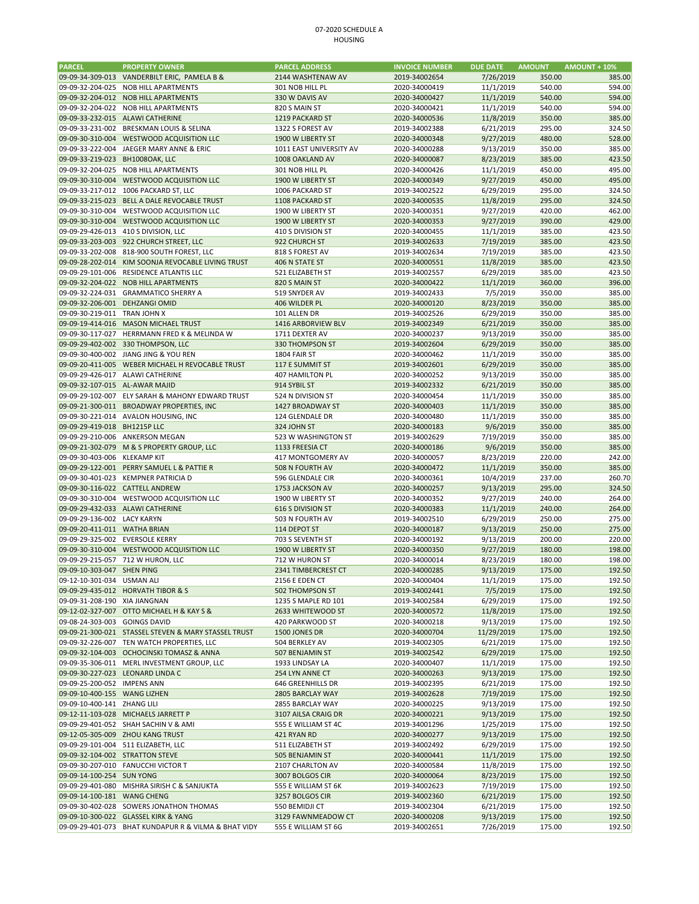## 07‐2020 SCHEDULE A HOUSING

| <b>PARCEL</b>                   | <b>PROPERTY OWNER</b>                                | <b>PARCEL ADDRESS</b>    | <b>INVOICE NUMBER</b> | <b>DUE DATE</b> | <b>AMOUNT</b> | <b>AMOUNT + 10%</b> |
|---------------------------------|------------------------------------------------------|--------------------------|-----------------------|-----------------|---------------|---------------------|
|                                 | 09-09-34-309-013 VANDERBILT ERIC, PAMELA B &         | 2144 WASHTENAW AV        | 2019-34002654         | 7/26/2019       | 350.00        | 385.00              |
| 09-09-32-204-025                | NOB HILL APARTMENTS                                  | 301 NOB HILL PL          | 2020-34000419         | 11/1/2019       | 540.00        | 594.00              |
|                                 | 09-09-32-204-012 NOB HILL APARTMENTS                 | 330 W DAVIS AV           | 2020-34000427         | 11/1/2019       | 540.00        | 594.00              |
|                                 |                                                      |                          |                       |                 |               | 594.00              |
| 09-09-32-204-022                | NOB HILL APARTMENTS                                  | 820 S MAIN ST            | 2020-34000421         | 11/1/2019       | 540.00        |                     |
|                                 | 09-09-33-232-015 ALAWI CATHERINE                     | 1219 PACKARD ST          | 2020-34000536         | 11/8/2019       | 350.00        | 385.00              |
| 09-09-33-231-002                | BRESKMAN LOUIS & SELINA                              | 1322 S FOREST AV         | 2019-34002388         | 6/21/2019       | 295.00        | 324.50              |
|                                 | 09-09-30-310-004 WESTWOOD ACQUISITION LLC            | 1900 W LIBERTY ST        | 2020-34000348         | 9/27/2019       | 480.00        | 528.00              |
| 09-09-33-222-004                | JAEGER MARY ANNE & ERIC                              | 1011 EAST UNIVERSITY AV  | 2020-34000288         | 9/13/2019       | 350.00        | 385.00              |
| 09-09-33-219-023 BH1008OAK, LLC |                                                      | 1008 OAKLAND AV          | 2020-34000087         | 8/23/2019       | 385.00        | 423.50              |
| 09-09-32-204-025                | NOB HILL APARTMENTS                                  | 301 NOB HILL PL          | 2020-34000426         | 11/1/2019       | 450.00        | 495.00              |
|                                 | 09-09-30-310-004 WESTWOOD ACQUISITION LLC            | 1900 W LIBERTY ST        | 2020-34000349         | 9/27/2019       | 450.00        | 495.00              |
|                                 | 09-09-33-217-012 1006 PACKARD ST, LLC                | 1006 PACKARD ST          | 2019-34002522         | 6/29/2019       | 295.00        | 324.50              |
|                                 | 09-09-33-215-023 BELL A DALE REVOCABLE TRUST         | 1108 PACKARD ST          | 2020-34000535         | 11/8/2019       | 295.00        | 324.50              |
| 09-09-30-310-004                | WESTWOOD ACQUISITION LLC                             | 1900 W LIBERTY ST        | 2020-34000351         | 9/27/2019       | 420.00        | 462.00              |
|                                 |                                                      |                          | 2020-34000353         |                 |               |                     |
|                                 | 09-09-30-310-004 WESTWOOD ACQUISITION LLC            | 1900 W LIBERTY ST        |                       | 9/27/2019       | 390.00        | 429.00              |
|                                 | 09-09-29-426-013 410 S DIVISION, LLC                 | 410 S DIVISION ST        | 2020-34000455         | 11/1/2019       | 385.00        | 423.50              |
|                                 | 09-09-33-203-003 922 CHURCH STREET, LLC              | 922 CHURCH ST            | 2019-34002633         | 7/19/2019       | 385.00        | 423.50              |
|                                 | 09-09-33-202-008 818-900 SOUTH FOREST, LLC           | 818 S FOREST AV          | 2019-34002634         | 7/19/2019       | 385.00        | 423.50              |
|                                 | 09-09-28-202-014 KIM SOONJA REVOCABLE LIVING TRUST   | 406 N STATE ST           | 2020-34000551         | 11/8/2019       | 385.00        | 423.50              |
| 09-09-29-101-006                | RESIDENCE ATLANTIS LLC                               | 521 ELIZABETH ST         | 2019-34002557         | 6/29/2019       | 385.00        | 423.50              |
|                                 | 09-09-32-204-022 NOB HILL APARTMENTS                 | 820 S MAIN ST            | 2020-34000422         | 11/1/2019       | 360.00        | 396.00              |
| 09-09-32-224-031                | <b>GRAMMATICO SHERRY A</b>                           | 519 SNYDER AV            | 2019-34002433         | 7/5/2019        | 350.00        | 385.00              |
| 09-09-32-206-001 DEHZANGI OMID  |                                                      | 406 WILDER PL            | 2020-34000120         | 8/23/2019       | 350.00        | 385.00              |
| 09-09-30-219-011 TRAN JOHN X    |                                                      | 101 ALLEN DR             | 2019-34002526         | 6/29/2019       | 350.00        | 385.00              |
|                                 |                                                      |                          |                       |                 |               |                     |
|                                 | 09-09-19-414-016 MASON MICHAEL TRUST                 | 1416 ARBORVIEW BLV       | 2019-34002349         | 6/21/2019       | 350.00        | 385.00              |
| 09-09-30-117-027                | HERRMANN FRED K & MELINDA W                          | 1711 DEXTER AV           | 2020-34000237         | 9/13/2019       | 350.00        | 385.00              |
|                                 | 09-09-29-402-002 330 THOMPSON, LLC                   | 330 THOMPSON ST          | 2019-34002604         | 6/29/2019       | 350.00        | 385.00              |
|                                 | 09-09-30-400-002 JIANG JING & YOU REN                | 1804 FAIR ST             | 2020-34000462         | 11/1/2019       | 350.00        | 385.00              |
|                                 | 09-09-20-411-005 WEBER MICHAEL H REVOCABLE TRUST     | 117 E SUMMIT ST          | 2019-34002601         | 6/29/2019       | 350.00        | 385.00              |
|                                 | 09-09-29-426-017 ALAWI CATHERINE                     | 407 HAMILTON PL          | 2020-34000252         | 9/13/2019       | 350.00        | 385.00              |
| 09-09-32-107-015 AL-AWAR MAJID  |                                                      | 914 SYBIL ST             | 2019-34002332         | 6/21/2019       | 350.00        | 385.00              |
|                                 | 09-09-29-102-007 ELY SARAH & MAHONY EDWARD TRUST     | 524 N DIVISION ST        | 2020-34000454         | 11/1/2019       | 350.00        | 385.00              |
|                                 | 09-09-21-300-011 BROADWAY PROPERTIES, INC            | 1427 BROADWAY ST         | 2020-34000403         | 11/1/2019       | 350.00        | 385.00              |
|                                 |                                                      |                          |                       |                 |               |                     |
|                                 | 09-09-30-221-014 AVALON HOUSING, INC                 | 124 GLENDALE DR          | 2020-34000480         | 11/1/2019       | 350.00        | 385.00              |
| 09-09-29-419-018 BH1215P LLC    |                                                      | 324 JOHN ST              | 2020-34000183         | 9/6/2019        | 350.00        | 385.00              |
|                                 | 09-09-29-210-006 ANKERSON MEGAN                      | 523 W WASHINGTON ST      | 2019-34002629         | 7/19/2019       | 350.00        | 385.00              |
|                                 | 09-09-21-302-079 M & S PROPERTY GROUP, LLC           | 1133 FREESIA CT          | 2020-34000186         | 9/6/2019        | 350.00        | 385.00              |
| 09-09-30-403-006 KLEKAMP KIT    |                                                      | 417 MONTGOMERY AV        | 2020-34000057         | 8/23/2019       | 220.00        | 242.00              |
|                                 | 09-09-29-122-001 PERRY SAMUEL L & PATTIE R           | 508 N FOURTH AV          | 2020-34000472         | 11/1/2019       | 350.00        | 385.00              |
| 09-09-30-401-023                | <b>KEMPNER PATRICIA D</b>                            | 596 GLENDALE CIR         | 2020-34000361         | 10/4/2019       | 237.00        | 260.70              |
| 09-09-30-116-022 CATTELL ANDREW |                                                      | 1753 JACKSON AV          | 2020-34000257         | 9/13/2019       | 295.00        | 324.50              |
| 09-09-30-310-004                | WESTWOOD ACQUISITION LLC                             | 1900 W LIBERTY ST        | 2020-34000352         | 9/27/2019       | 240.00        | 264.00              |
|                                 | 09-09-29-432-033 ALAWI CATHERINE                     | <b>616 S DIVISION ST</b> | 2020-34000383         | 11/1/2019       | 240.00        | 264.00              |
|                                 |                                                      |                          |                       |                 |               |                     |
| 09-09-29-136-002 LACY KARYN     |                                                      | 503 N FOURTH AV          | 2019-34002510         | 6/29/2019       | 250.00        | 275.00              |
| 09-09-20-411-011 WATHA BRIAN    |                                                      | 114 DEPOT ST             | 2020-34000187         | 9/13/2019       | 250.00        | 275.00              |
| 09-09-29-325-002 EVERSOLE KERRY |                                                      | 703 S SEVENTH ST         | 2020-34000192         | 9/13/2019       | 200.00        | 220.00              |
|                                 | 09-09-30-310-004 WESTWOOD ACQUISITION LLC            | 1900 W LIBERTY ST        | 2020-34000350         | 9/27/2019       | 180.00        | 198.00              |
|                                 | 09-09-29-215-057 712 W HURON, LLC                    | 712 W HURON ST           | 2020-34000014         | 8/23/2019       | 180.00        | 198.00              |
| 09-09-10-303-047 SHEN PING      |                                                      | 2341 TIMBERCREST CT      | 2020-34000285         | 9/13/2019       | 175.00        | 192.50              |
| 09-12-10-301-034 USMAN ALI      |                                                      | 2156 E EDEN CT           | 2020-34000404         | 11/1/2019       | 175.00        | 192.50              |
|                                 | 09-09-29-435-012 HORVATH TIBOR & S                   | 502 THOMPSON ST          | 2019-34002441         | 7/5/2019        | 175.00        | 192.50              |
| 09-09-31-208-190 XIA JIANGNAN   |                                                      | 1235 S MAPLE RD 101      | 2019-34002584         | 6/29/2019       | 175.00        | 192.50              |
|                                 | 09-12-02-327-007 OTTO MICHAEL H & KAY S &            |                          |                       |                 |               |                     |
|                                 |                                                      | 2633 WHITEWOOD ST        | 2020-34000572         | 11/8/2019       | 175.00        | 192.50              |
| 09-08-24-303-003 GOINGS DAVID   |                                                      | 420 PARKWOOD ST          | 2020-34000218         | 9/13/2019       | 175.00        | 192.50              |
|                                 | 09-09-21-300-021 STASSEL STEVEN & MARY STASSEL TRUST | 1500 JONES DR            | 2020-34000704         | 11/29/2019      | 175.00        | 192.50              |
|                                 | 09-09-32-226-007 TEN WATCH PROPERTIES, LLC           | 504 BERKLEY AV           | 2019-34002305         | 6/21/2019       | 175.00        | 192.50              |
|                                 | 09-09-32-104-003 OCHOCINSKI TOMASZ & ANNA            | 507 BENJAMIN ST          | 2019-34002542         | 6/29/2019       | 175.00        | 192.50              |
|                                 | 09-09-35-306-011 MERL INVESTMENT GROUP, LLC          | 1933 LINDSAY LA          | 2020-34000407         | 11/1/2019       | 175.00        | 192.50              |
|                                 | 09-09-30-227-023 LEONARD LINDA C                     | 254 LYN ANNE CT          | 2020-34000263         | 9/13/2019       | 175.00        | 192.50              |
| 09-09-25-200-052 IMPENS ANN     |                                                      | 646 GREENHILLS DR        | 2019-34002395         | 6/21/2019       | 175.00        | 192.50              |
| 09-09-10-400-155 WANG LIZHEN    |                                                      | 2805 BARCLAY WAY         | 2019-34002628         | 7/19/2019       | 175.00        | 192.50              |
| 09-09-10-400-141 ZHANG LILI     |                                                      | 2855 BARCLAY WAY         | 2020-34000225         | 9/13/2019       | 175.00        | 192.50              |
|                                 | 09-12-11-103-028 MICHAELS JARRETT P                  |                          |                       |                 |               |                     |
|                                 |                                                      | 3107 AILSA CRAIG DR      | 2020-34000221         | 9/13/2019       | 175.00        | 192.50              |
|                                 | 09-09-29-401-052 SHAH SACHIN V & AMI                 | 555 E WILLIAM ST 4C      | 2019-34001296         | 1/25/2019       | 175.00        | 192.50              |
|                                 | 09-12-05-305-009 ZHOU KANG TRUST                     | 421 RYAN RD              | 2020-34000277         | 9/13/2019       | 175.00        | 192.50              |
|                                 | 09-09-29-101-004 511 ELIZABETH, LLC                  | 511 ELIZABETH ST         | 2019-34002492         | 6/29/2019       | 175.00        | 192.50              |
| 09-09-32-104-002 STRATTON STEVE |                                                      | 505 BENJAMIN ST          | 2020-34000441         | 11/1/2019       | 175.00        | 192.50              |
|                                 | 09-09-30-207-010 FANUCCHI VICTOR T                   | 2107 CHARLTON AV         | 2020-34000584         | 11/8/2019       | 175.00        | 192.50              |
| 09-09-14-100-254 SUN YONG       |                                                      | 3007 BOLGOS CIR          | 2020-34000064         | 8/23/2019       | 175.00        | 192.50              |
|                                 | 09-09-29-401-080 MISHRA SIRISH C & SANJUKTA          | 555 E WILLIAM ST 6K      | 2019-34002623         | 7/19/2019       | 175.00        | 192.50              |
| 09-09-14-100-181 WANG CHENG     |                                                      | 3257 BOLGOS CIR          | 2019-34002360         | 6/21/2019       | 175.00        | 192.50              |
|                                 |                                                      |                          |                       |                 |               |                     |
|                                 | 09-09-30-402-028 SOWERS JONATHON THOMAS              | 550 BEMIDJI CT           | 2019-34002304         | 6/21/2019       | 175.00        | 192.50              |
|                                 | 09-09-10-300-022 GLASSEL KIRK & YANG                 | 3129 FAWNMEADOW CT       | 2020-34000208         | 9/13/2019       | 175.00        | 192.50              |
|                                 | 09-09-29-401-073 BHAT KUNDAPUR R & VILMA & BHAT VIDY | 555 E WILLIAM ST 6G      | 2019-34002651         | 7/26/2019       | 175.00        | 192.50              |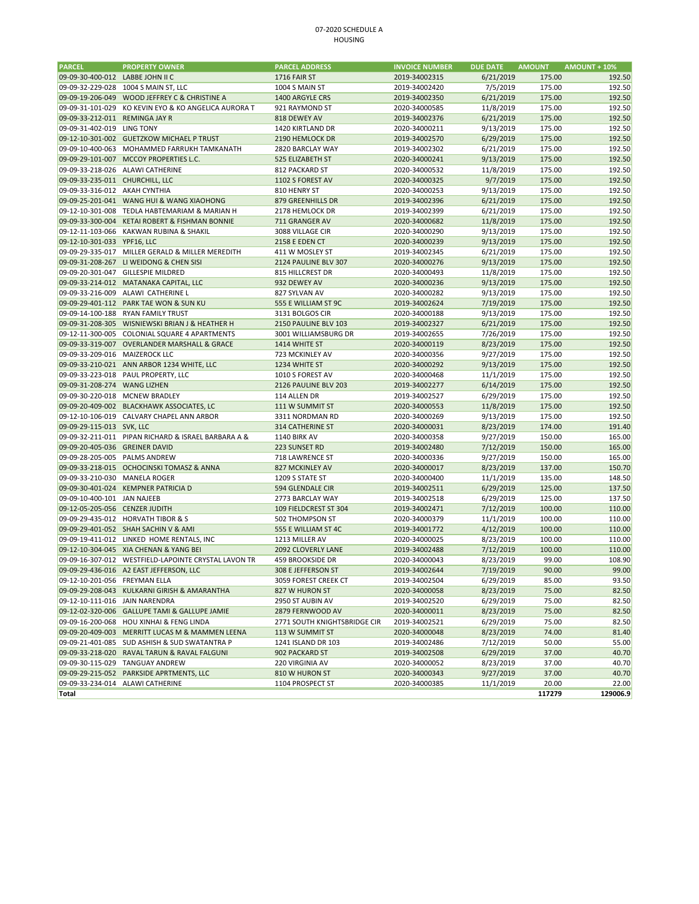## 07‐2020 SCHEDULE A HOUSING

| <b>PARCEL</b>                    | <b>PROPERTY OWNER</b>                                | <b>PARCEL ADDRESS</b>                | <b>INVOICE NUMBER</b> | <b>DUE DATE</b> | <b>AMOUNT</b> | <b>AMOUNT + 10%</b> |
|----------------------------------|------------------------------------------------------|--------------------------------------|-----------------------|-----------------|---------------|---------------------|
| 09-09-30-400-012 LABBE JOHN II C |                                                      | <b>1716 FAIR ST</b>                  | 2019-34002315         | 6/21/2019       | 175.00        | 192.50              |
| 09-09-32-229-028                 | 1004 S MAIN ST, LLC                                  | 1004 S MAIN ST                       | 2019-34002420         | 7/5/2019        | 175.00        | 192.50              |
|                                  | 09-09-19-206-049 WOOD JEFFREY C & CHRISTINE A        | 1400 ARGYLE CRS                      | 2019-34002350         | 6/21/2019       | 175.00        | 192.50              |
| 09-09-31-101-029                 | KO KEVIN EYO & KO ANGELICA AURORA T                  | 921 RAYMOND ST                       | 2020-34000585         | 11/8/2019       | 175.00        | 192.50              |
| 09-09-33-212-011 REMINGA JAY R   |                                                      | 818 DEWEY AV                         | 2019-34002376         | 6/21/2019       | 175.00        | 192.50              |
| 09-09-31-402-019 LING TONY       |                                                      | 1420 KIRTLAND DR                     | 2020-34000211         | 9/13/2019       | 175.00        | 192.50              |
|                                  | 09-12-10-301-002 GUETZKOW MICHAEL P TRUST            | 2190 HEMLOCK DR                      | 2019-34002570         | 6/29/2019       | 175.00        | 192.50              |
| 09-09-10-400-063                 | MOHAMMED FARRUKH TAMKANATH                           | 2820 BARCLAY WAY                     | 2019-34002302         | 6/21/2019       | 175.00        | 192.50              |
|                                  | 09-09-29-101-007 MCCOY PROPERTIES L.C.               | 525 ELIZABETH ST                     | 2020-34000241         | 9/13/2019       | 175.00        | 192.50              |
|                                  | 09-09-33-218-026 ALAWI CATHERINE                     | 812 PACKARD ST                       | 2020-34000532         | 11/8/2019       | 175.00        | 192.50              |
| 09-09-33-235-011 CHURCHILL, LLC  |                                                      | 1102 S FOREST AV                     | 2020-34000325         | 9/7/2019        | 175.00        | 192.50              |
| 09-09-33-316-012 AKAH CYNTHIA    |                                                      | 810 HENRY ST                         | 2020-34000253         | 9/13/2019       | 175.00        | 192.50              |
|                                  | 09-09-25-201-041 WANG HUI & WANG XIAOHONG            | 879 GREENHILLS DR                    | 2019-34002396         | 6/21/2019       | 175.00        | 192.50              |
|                                  | 09-12-10-301-008 TEDLA HABTEMARIAM & MARIAN H        | 2178 HEMLOCK DR                      | 2019-34002399         | 6/21/2019       | 175.00        | 192.50              |
|                                  | 09-09-33-300-004 KETAI ROBERT & FISHMAN BONNIE       | 711 GRANGER AV                       | 2020-34000682         | 11/8/2019       | 175.00        | 192.50              |
|                                  | 09-12-11-103-066 KAKWAN RUBINA & SHAKIL              | 3088 VILLAGE CIR                     | 2020-34000290         | 9/13/2019       | 175.00        | 192.50              |
| 09-12-10-301-033 YPF16, LLC      |                                                      | 2158 E EDEN CT                       | 2020-34000239         | 9/13/2019       | 175.00        | 192.50              |
|                                  | 09-09-29-335-017 MILLER GERALD & MILLER MEREDITH     | 411 W MOSLEY ST                      | 2019-34002345         | 6/21/2019       | 175.00        | 192.50              |
|                                  | 09-09-31-208-267 LI WEIDONG & CHEN SISI              | 2124 PAULINE BLV 307                 | 2020-34000276         | 9/13/2019       | 175.00        | 192.50              |
| 09-09-20-301-047                 | <b>GILLESPIE MILDRED</b>                             | 815 HILLCREST DR                     | 2020-34000493         | 11/8/2019       | 175.00        | 192.50              |
|                                  | 09-09-33-214-012 MATANAKA CAPITAL, LLC               | 932 DEWEY AV                         | 2020-34000236         | 9/13/2019       | 175.00        | 192.50              |
| 09-09-33-216-009                 | ALAWI CATHERINE L                                    | 827 SYLVAN AV                        | 2020-34000282         | 9/13/2019       | 175.00        | 192.50              |
|                                  | 09-09-29-401-112 PARK TAE WON & SUN KU               | 555 E WILLIAM ST 9C                  | 2019-34002624         | 7/19/2019       | 175.00        | 192.50              |
|                                  | 09-09-14-100-188 RYAN FAMILY TRUST                   | 3131 BOLGOS CIR                      | 2020-34000188         | 9/13/2019       | 175.00        | 192.50              |
|                                  | 09-09-31-208-305 WISNIEWSKI BRIAN J & HEATHER H      | 2150 PAULINE BLV 103                 | 2019-34002327         | 6/21/2019       | 175.00        | 192.50              |
| 09-12-11-300-005                 | COLONIAL SQUARE 4 APARTMENTS                         | 3001 WILLIAMSBURG DR                 | 2019-34002655         | 7/26/2019       | 175.00        | 192.50              |
|                                  | 09-09-33-319-007 OVERLANDER MARSHALL & GRACE         | 1414 WHITE ST                        | 2020-34000119         | 8/23/2019       | 175.00        | 192.50              |
| 09-09-33-209-016 MAIZEROCK LLC   |                                                      | 723 MCKINLEY AV                      | 2020-34000356         | 9/27/2019       | 175.00        | 192.50              |
|                                  | 09-09-33-210-021 ANN ARBOR 1234 WHITE, LLC           | 1234 WHITE ST                        | 2020-34000292         | 9/13/2019       | 175.00        | 192.50              |
|                                  | 09-09-33-223-018 PAUL PROPERTY, LLC                  | 1010 S FOREST AV                     | 2020-34000468         | 11/1/2019       | 175.00        | 192.50              |
| 09-09-31-208-274 WANG LIZHEN     |                                                      | 2126 PAULINE BLV 203                 | 2019-34002277         | 6/14/2019       | 175.00        | 192.50              |
| 09-09-30-220-018 MCNEW BRADLEY   |                                                      | 114 ALLEN DR                         | 2019-34002527         | 6/29/2019       | 175.00        | 192.50              |
|                                  | 09-09-20-409-002 BLACKHAWK ASSOCIATES, LC            | 111 W SUMMIT ST                      | 2020-34000553         | 11/8/2019       | 175.00        | 192.50              |
|                                  | 09-12-10-106-019 CALVARY CHAPEL ANN ARBOR            | 3311 NORDMAN RD                      | 2020-34000269         | 9/13/2019       | 175.00        | 192.50              |
| 09-09-29-115-013 SVK, LLC        |                                                      | <b>314 CATHERINE ST</b>              | 2020-34000031         | 8/23/2019       | 174.00        | 191.40              |
|                                  | 09-09-32-211-011 PIPAN RICHARD & ISRAEL BARBARA A &  | <b>1140 BIRK AV</b>                  | 2020-34000358         | 9/27/2019       | 150.00        | 165.00              |
| 09-09-20-405-036 GREINER DAVID   |                                                      | 223 SUNSET RD                        | 2019-34002480         | 7/12/2019       | 150.00        | 165.00              |
| 09-09-28-205-005                 | <b>PALMS ANDREW</b>                                  | 718 LAWRENCE ST                      | 2020-34000336         | 9/27/2019       | 150.00        | 165.00              |
|                                  | 09-09-33-218-015 OCHOCINSKI TOMASZ & ANNA            | 827 MCKINLEY AV                      | 2020-34000017         | 8/23/2019       | 137.00        | 150.70              |
| 09-09-33-210-030 MANELA ROGER    |                                                      | 1209 S STATE ST                      | 2020-34000400         | 11/1/2019       | 135.00        | 148.50              |
|                                  | 09-09-30-401-024 KEMPNER PATRICIA D                  | 594 GLENDALE CIR                     | 2019-34002511         | 6/29/2019       | 125.00        | 137.50              |
| 09-09-10-400-101 JAN NAJEEB      |                                                      | 2773 BARCLAY WAY                     | 2019-34002518         | 6/29/2019       | 125.00        | 137.50              |
| 09-12-05-205-056 CENZER JUDITH   |                                                      | 109 FIELDCREST ST 304                | 2019-34002471         | 7/12/2019       | 100.00        | 110.00              |
|                                  | 09-09-29-435-012 HORVATH TIBOR & S                   | 502 THOMPSON ST                      | 2020-34000379         | 11/1/2019       | 100.00        | 110.00              |
|                                  | 09-09-29-401-052 SHAH SACHIN V & AMI                 | 555 E WILLIAM ST 4C                  | 2019-34001772         | 4/12/2019       | 100.00        | 110.00              |
|                                  | 09-09-19-411-012 LINKED HOME RENTALS, INC            | 1213 MILLER AV                       | 2020-34000025         | 8/23/2019       | 100.00        | 110.00              |
|                                  | 09-12-10-304-045 XIA CHENAN & YANG BEI               | 2092 CLOVERLY LANE                   | 2019-34002488         | 7/12/2019       | 100.00        | 110.00              |
|                                  | 09-09-16-307-012 WESTFIELD-LAPOINTE CRYSTAL LAVON TR | <b>459 BROOKSIDE DR</b>              | 2020-34000043         | 8/23/2019       | 99.00         | 108.90              |
|                                  | 09-09-29-436-016 A2 EAST JEFFERSON, LLC              | 308 E JEFFERSON ST                   | 2019-34002644         | 7/19/2019       | 90.00         | 99.00               |
| 09-12-10-201-056 FREYMAN ELLA    |                                                      | 3059 FOREST CREEK CT                 | 2019-34002504         | 6/29/2019       | 85.00         | 93.50               |
|                                  | 09-09-29-208-043 KULKARNI GIRISH & AMARANTHA         | 827 W HURON ST                       | 2020-34000058         | 8/23/2019       | 75.00         | 82.50               |
| 09-12-10-111-016 JAIN NARENDRA   |                                                      | 2950 ST AUBIN AV                     | 2019-34002520         | 6/29/2019       | 75.00         | 82.50               |
|                                  | 09-12-02-320-006 GALLUPE TAMI & GALLUPE JAMIE        | 2879 FERNWOOD AV                     | 2020-34000011         | 8/23/2019       | 75.00         | 82.50               |
|                                  | 09-09-16-200-068 HOU XINHAI & FENG LINDA             | 2771 SOUTH KNIGHTSBRIDGE CIR         | 2019-34002521         | 6/29/2019       | 75.00         | 82.50               |
|                                  | 09-09-20-409-003 MERRITT LUCAS M & MAMMEN LEENA      | 113 W SUMMIT ST                      | 2020-34000048         | 8/23/2019       | 74.00         | 81.40               |
|                                  | 09-09-21-401-085 SUD ASHISH & SUD SWATANTRA P        |                                      | 2019-34002486         | 7/12/2019       | 50.00         | 55.00               |
|                                  | 09-09-33-218-020 RAVAL TARUN & RAVAL FALGUNI         | 1241 ISLAND DR 103<br>902 PACKARD ST | 2019-34002508         | 6/29/2019       | 37.00         | 40.70               |
|                                  | 09-09-30-115-029 TANGUAY ANDREW                      | 220 VIRGINIA AV                      | 2020-34000052         | 8/23/2019       | 37.00         | 40.70               |
|                                  | 09-09-29-215-052 PARKSIDE APRTMENTS, LLC             | 810 W HURON ST                       | 2020-34000343         | 9/27/2019       | 37.00         | 40.70               |
|                                  | 09-09-33-234-014 ALAWI CATHERINE                     | 1104 PROSPECT ST                     | 2020-34000385         | 11/1/2019       | 20.00         | 22.00               |
| Total                            |                                                      |                                      |                       |                 | 117279        | 129006.9            |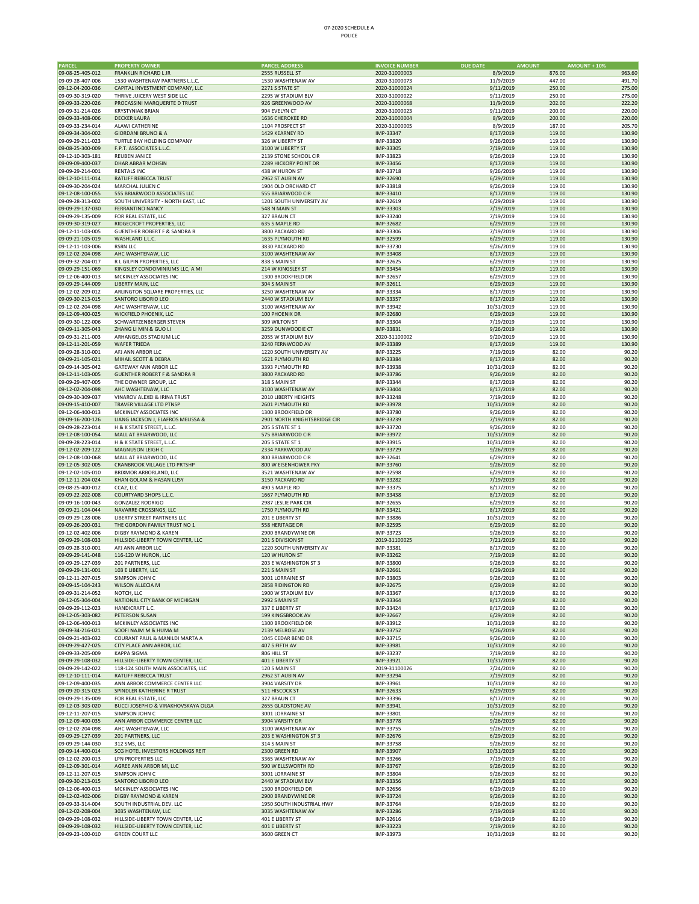# 07‐2020 SCHEDULE A POLICE

| <b>PARCEL</b>                        | <b>PROPERTY OWNER</b>                            | <b>PARCEL ADDRESS</b>                   | <b>INVOICE NUMBER</b> | <b>DUE DATE</b><br><b>AMOUNT</b> | <b>AMOUNT + 10%</b> |                  |
|--------------------------------------|--------------------------------------------------|-----------------------------------------|-----------------------|----------------------------------|---------------------|------------------|
| 09-08-25-405-012                     | <b>FRANKLIN RICHARD L JR</b>                     | 2555 RUSSELL ST                         | 2020-31000003         | 8/9/2019                         | 876.00              | 963.60           |
| 09-09-28-407-006                     | 1530 WASHTENAW PARTNERS L.L.C.                   | 1530 WASHTENAW AV                       | 2020-31000073         | 11/9/2019                        | 447.00              | 491.70           |
| 09-12-04-200-036                     | CAPITAL INVESTMENT COMPANY, LLC                  | 2271 S STATE ST                         | 2020-31000024         | 9/11/2019                        | 250.00              | 275.00           |
| 09-09-30-319-020                     | THRIVE JUICERY WEST SIDE LLC                     | 2295 W STADIUM BLV                      | 2020-31000022         | 9/11/2019                        | 250.00              | 275.00           |
| 09-09-33-220-026                     | PROCASSINI MARQUERITE D TRUST                    | 926 GREENWOOD AV                        | 2020-31000068         | 11/9/2019                        | 202.00              | 222.20           |
| 09-09-31-214-026                     | <b>KRYSTYNIAK BRIAN</b>                          | 904 EVELYN CT                           | 2020-31000023         | 9/11/2019                        | 200.00              | 220.00           |
| 09-09-33-408-006                     | <b>DECKER LAURA</b>                              | 1636 CHEROKEE RD                        | 2020-31000004         | 8/9/2019                         | 200.00              | 220.00           |
| 09-09-33-234-014                     | ALAWI CATHERINE                                  | 1104 PROSPECT ST                        | 2020-31000005         | 8/9/2019                         | 187.00              | 205.70           |
| 09-09-34-304-002                     | <b>GIORDANI BRUNO &amp; A</b>                    | 1429 KEARNEY RD                         | IMP-33347             | 8/17/2019                        | 119.00              | 130.90           |
| 09-09-29-211-023                     | TURTLE BAY HOLDING COMPANY                       | 326 W LIBERTY ST                        | IMP-33820             | 9/26/2019                        | 119.00              | 130.90           |
| 09-08-25-300-009                     | F.P.T. ASSOCIATES L.L.C.                         | 3100 W LIBERTY ST                       | IMP-33305             | 7/19/2019                        | 119.00              | 130.90           |
| 09-12-10-303-181                     | REUBEN JANICE                                    | 2139 STONE SCHOOL CIR                   | IMP-33823             | 9/26/2019                        | 119.00              | 130.90           |
| 09-09-09-400-037                     | DHAR ABRAR MOHSIN                                | 2289 HICKORY POINT DR                   | IMP-33456             | 8/17/2019                        | 119.00              | 130.90           |
| 09-09-29-214-001                     | <b>RENTALS INC</b>                               | 438 W HURON ST                          | IMP-33718             | 9/26/2019                        | 119.00              | 130.90           |
| 09-12-10-111-014                     | RATLIFF REBECCA TRUST                            | 2962 ST AUBIN AV                        | IMP-32690             | 6/29/2019                        | 119.00              | 130.90           |
| 09-09-30-204-024                     | MARCHAL JULIEN C                                 | 1904 OLD ORCHARD CT                     | IMP-33818             | 9/26/2019                        | 119.00              | 130.90           |
| 09-12-08-100-055                     | 555 BRIARWOOD ASSOCIATES LLC                     | 555 BRIARWOOD CIR                       | IMP-33410             | 8/17/2019                        | 119.00              | 130.90           |
| 09-09-28-313-002                     | SOUTH UNIVERSITY - NORTH EAST, LLC               | 1201 SOUTH UNIVERSITY AV                | IMP-32619             | 6/29/2019                        | 119.00              | 130.90           |
| 09-09-29-137-030                     | <b>FERRANTINO NANCY</b>                          | 548 N MAIN ST                           | IMP-33303             | 7/19/2019                        | 119.00              | 130.90           |
| 09-09-29-135-009                     | FOR REAL ESTATE, LLC                             | 327 BRAUN CT                            | IMP-33240             | 7/19/2019                        | 119.00              | 130.90           |
| 09-09-30-319-027                     | RIDGECROFT PROPERTIES, LLC                       | 635 S MAPLE RD                          | IMP-32682             | 6/29/2019                        | 119.00              | 130.90           |
| 09-12-11-103-005                     | <b>GUENTHER ROBERT F &amp; SANDRA R</b>          | 3800 PACKARD RD                         | IMP-33306             |                                  | 119.00              | 130.90           |
| 09-09-21-105-019                     | WASHLAND L.L.C.                                  | 1635 PLYMOUTH RD                        | IMP-32599             | 7/19/2019                        | 119.00              | 130.90           |
| 09-12-11-103-006                     | <b>RSRN LLC</b>                                  | 3830 PACKARD RD                         | IMP-33730             | 6/29/2019                        | 119.00              | 130.90           |
|                                      |                                                  |                                         |                       | 9/26/2019                        |                     | 130.90           |
| 09-12-02-204-098                     | AHC WASHTENAW, LLC<br>R L GILPIN PROPERTIES, LLC | 3100 WASHTENAW AV<br>838 S MAIN ST      | IMP-33408             | 8/17/2019                        | 119.00<br>119.00    | 130.90           |
| 09-09-32-204-017                     |                                                  |                                         | IMP-32625             | 6/29/2019                        |                     |                  |
| 09-09-29-151-069                     | KINGSLEY CONDOMINIUMS LLC, A MI                  | 214 W KINGSLEY ST                       | IMP-33454             | 8/17/2019                        | 119.00              | 130.90           |
| 09-12-06-400-013<br>09-09-29-144-009 | MCKINLEY ASSOCIATES INC                          | 1300 BROOKFIELD DR<br>304 S MAIN ST     | IMP-32657             | 6/29/2019                        | 119.00              | 130.90<br>130.90 |
|                                      | LIBERTY MAIN, LLC                                |                                         | IMP-32611             | 6/29/2019                        | 119.00              |                  |
| 09-12-02-209-012<br>09-09-30-213-015 | ARLINGTON SQUARE PROPERTIES, LLC                 | 3250 WASHTENAW AV                       | IMP-33334             | 8/17/2019                        | 119.00              | 130.90<br>130.90 |
|                                      | SANTORO LIBORIO LEO                              | 2440 W STADIUM BLV                      | IMP-33357             | 8/17/2019                        | 119.00              |                  |
| 09-12-02-204-098                     | AHC WASHTENAW, LLC                               | 3100 WASHTENAW AV                       | IMP-33942             | 10/31/2019                       | 119.00              | 130.90           |
| 09-12-09-400-025                     | WICKFIELD PHOENIX, LLC                           | 100 PHOENIX DR                          | IMP-32680             | 6/29/2019                        | 119.00              | 130.90           |
| 09-09-30-122-006                     | SCHWARTZENBERGER STEVEN<br>ZHANG LI MIN & GUO LI | 309 WILTON ST                           | IMP-33304             | 7/19/2019<br>9/26/2019           | 119.00              | 130.90           |
| 09-09-11-305-043                     |                                                  | 3259 DUNWOODIE CT<br>2055 W STADIUM BLV | IMP-33831             |                                  | 119.00              | 130.90           |
| 09-09-31-211-003                     | ARHANGELOS STADIUM LLC                           |                                         | 2020-31100002         | 9/20/2019                        | 119.00              | 130.90           |
| 09-12-11-201-059                     | <b>WAFER TRIEDA</b>                              | 3240 FERNWOOD AV                        | IMP-33389             | 8/17/2019                        | 119.00              | 130.90           |
| 09-09-28-310-001                     | AFJ ANN ARBOR LLC                                | 1220 SOUTH UNIVERSITY AV                | IMP-33225             | 7/19/2019                        | 82.00               | 90.20            |
| 09-09-21-105-021                     | MIHAIL SCOTT & DEBRA                             | 1621 PLYMOUTH RD                        | IMP-33384             | 8/17/2019                        | 82.00               | 90.20            |
| 09-09-14-305-042                     | <b>GATEWAY ANN ARBOR LLC</b>                     | 3393 PLYMOUTH RD                        | IMP-33938             | 10/31/2019                       | 82.00               | 90.20            |
| 09-12-11-103-005                     | <b>GUENTHER ROBERT F &amp; SANDRA R</b>          | 3800 PACKARD RD                         | IMP-33786             | 9/26/2019                        | 82.00               | 90.20            |
| 09-09-29-407-005                     | THE DOWNER GROUP, LLC                            | 318 S MAIN ST                           | IMP-33344             | 8/17/2019                        | 82.00               | 90.20            |
| 09-12-02-204-098                     | AHC WASHTENAW, LLC                               | 3100 WASHTENAW AV                       | IMP-33404             | 8/17/2019                        | 82.00               | 90.20            |
| 09-09-30-309-037                     | VINAROV ALEXEI & IRINA TRUST                     | 2010 LIBERTY HEIGHTS                    | IMP-33248             | 7/19/2019                        | 82.00               | 90.20            |
| 09-09-15-410-007                     | TRAVER VILLAGE LTD PTNSP                         | 2601 PLYMOUTH RD                        | IMP-33978             | 10/31/2019                       | 82.00               | 90.20            |
| 09-12-06-400-013                     | MCKINLEY ASSOCIATES INC                          | 1300 BROOKFIELD DR                      | IMP-33780             | 9/26/2019                        | 82.00               | 90.20            |
| 09-09-16-200-126                     | LIANG JACKSON J, ELAFROS MELISSA &               | 2901 NORTH KNIGHTSBRIDGE CIR            | IMP-33239             | 7/19/2019                        | 82.00               | 90.20            |
| 09-09-28-223-014                     | H & K STATE STREET, L.L.C.                       | 205 S STATE ST 1                        | IMP-33720             | 9/26/2019                        | 82.00               | 90.20            |
| 09-12-08-100-054                     | MALL AT BRIARWOOD, LLC                           | 575 BRIARWOOD CIR                       | IMP-33972             | 10/31/2019                       | 82.00               | 90.20            |
| 09-09-28-223-014                     | H & K STATE STREET, L.L.C                        | 205 S STATE ST 1                        | IMP-33915             | 10/31/2019                       | 82.00               | 90.20            |
| 09-12-02-209-122                     | MAGNUSON LEIGH C                                 | 2334 PARKWOOD AV                        | IMP-33729             | 9/26/2019                        | 82.00               | 90.20            |
| 09-12-08-100-068                     | MALL AT BRIARWOOD, LLC                           | 800 BRIARWOOD CIR                       | IMP-32641             | 6/29/2019                        | 82.00               | 90.20            |
| 09-12-05-302-005                     | CRANBROOK VILLAGE LTD PRTSHP                     | 800 W EISENHOWER PKY                    | IMP-33760             | 9/26/2019                        | 82.00               | 90.20            |
| 09-12-02-105-010                     | BRIXMOR ARBORLAND, LLC                           | 3521 WASHTENAW AV                       | IMP-32598             | 6/29/2019                        | 82.00               | 90.20            |
| 09-12-11-204-024                     | KHAN GOLAM & HASAN LUSY                          | 3150 PACKARD RD                         | IMP-33282             | 7/19/2019                        | 82.00               | 90.20            |
| 09-08-25-400-012                     | CCA2, LLC                                        | 490 S MAPLE RD                          | IMP-33375             | 8/17/2019                        | 82.00               | 90.20            |
| 09-09-22-202-008                     | COURTYARD SHOPS L.L.C.                           | 1667 PLYMOUTH RD                        | IMP-33438             | 8/17/2019                        | 82.00               | 90.20            |
| 09-09-16-100-043                     | <b>GONZALEZ RODRIGO</b>                          | 2987 LESLIE PARK CIR                    | IMP-32655             | 6/29/2019                        | 82.00               | 90.20            |
| 09-09-21-104-044                     | NAVARRE CROSSINGS, LLC                           | 1750 PLYMOUTH RD                        | IMP-33421             | 8/17/2019                        | 82.00               | 90.20            |
| 09-09-29-128-006                     | LIBERTY STREET PARTNERS LLC                      | 201 E LIBERTY ST                        | IMP-33886             | 10/31/2019                       | 82.00               | 90.20            |
| 09-09-26-200-031                     | THE GORDON FAMILY TRUST NO 1                     | 558 HERITAGE DR                         | IMP-32595             | 6/29/2019                        | 82.00               | 90.20            |
| 09-12-02-402-006                     | DIGBY RAYMOND & KAREN                            | 2900 BRANDYWINE DR                      | IMP-33723             | 9/26/2019                        | 82.00               | 90.20            |
| 09-09-29-108-033                     | HILLSIDE-LIBERTY TOWN CENTER, LLC                | 201 S DIVISION ST                       | 2019-31100025         | 7/21/2019                        | 82.00               | 90.20            |
| 09-09-28-310-001                     | AFJ ANN ARBOR LLC                                | 1220 SOUTH UNIVERSITY AV                | IMP-33381             | 8/17/2019                        | 82.00               | 90.20            |
| 09-09-29-141-048                     | 116-120 W HURON, LLC                             | 120 W HURON ST                          | IMP-33262             | 7/19/2019                        | 82.00               | 90.20            |
| 09-09-29-127-039                     | 201 PARTNERS, LLC                                | 203 E WASHINGTON ST 3                   | IMP-33800             | 9/26/2019                        | 82.00               | 90.20            |
| 09-09-29-131-001                     | 103 E LIBERTY, LLC                               | 221 S MAIN ST                           | IMP-32661             | 6/29/2019                        | 82.00               | 90.20            |
| 09-12-11-207-015                     | SIMPSON JOHN C                                   | 3001 LORRAINE ST                        | IMP-33803             | 9/26/2019                        | 82.00               | 90.20            |
| 09-09-15-104-243                     | WILSON ALLECIA M                                 | 2858 RIDINGTON RD                       | IMP-32675             | 6/29/2019                        | 82.00               | 90.20            |
| 09-09-31-214-052                     | NOTCH, LLC                                       | 1900 W STADIUM BLV                      | IMP-33367             | 8/17/2019                        | 82.00               | 90.20            |
| 09-12-05-304-004                     | NATIONAL CITY BANK OF MICHIGAN                   | 2992 S MAIN ST                          | IMP-33364             | 8/17/2019                        | 82.00               | 90.20            |
| 09-09-29-112-023                     | HANDICRAFT L.C.                                  | 337 E LIBERTY ST                        | IMP-33424             | 8/17/2019                        | 82.00               | 90.20            |
| 09-12-05-303-082                     | PETERSON SUSAN                                   | 199 KINGSBROOK AV                       | IMP-32667             | 6/29/2019                        | 82.00               | 90.20            |
| 09-12-06-400-013                     | MCKINLEY ASSOCIATES INC                          | 1300 BROOKFIELD DR                      | IMP-33912             | 10/31/2019                       | 82.00               | 90.20            |
| 09-09-34-216-021                     | SOOFI NAJM M & HUMA M                            | 2139 MELROSE AV                         | IMP-33752             | 9/26/2019                        | 82.00               | 90.20            |
| 09-09-21-403-032                     | COURANT PAUL & MANILDI MARTA A                   | 1045 CEDAR BEND DR                      | IMP-33715             | 9/26/2019                        | 82.00               | 90.20            |
| 09-09-29-427-025                     | CITY PLACE ANN ARBOR, LLC                        | 407 S FIFTH AV                          | IMP-33981             | 10/31/2019                       | 82.00               | 90.20            |
| 09-09-33-205-009                     | <b>KAPPA SIGMA</b>                               | 806 HILL ST                             | IMP-33237             | 7/19/2019                        | 82.00               | 90.20            |
| 09-09-29-108-032                     | HILLSIDE-LIBERTY TOWN CENTER, LLC                | 401 E LIBERTY ST                        | IMP-33921             | 10/31/2019                       | 82.00               | 90.20            |
| 09-09-29-142-022                     | 118-124 SOUTH MAIN ASSOCIATES, LLC               | 120 S MAIN ST                           | 2019-31100026         | 7/24/2019                        | 82.00               | 90.20            |
| 09-12-10-111-014                     | RATLIFF REBECCA TRUST                            | 2962 ST AUBIN AV                        | IMP-33294             | 7/19/2019                        | 82.00               | 90.20            |
| 09-12-09-400-035                     | ANN ARBOR COMMERCE CENTER LLC                    | 3904 VARSITY DR                         | IMP-33961             | 10/31/2019                       | 82.00               | 90.20            |
| 09-09-20-315-023                     | SPINDLER KATHERINE R TRUST                       | 511 HISCOCK ST                          | IMP-32633             | 6/29/2019                        | 82.00               | 90.20            |
| 09-09-29-135-009                     | FOR REAL ESTATE, LLC                             | 327 BRAUN CT                            | IMP-33396             | 8/17/2019                        | 82.00               | 90.20            |
| 09-12-03-303-020                     | BUCCI JOSEPH D & VIRAKHOVSKAYA OLGA              | 2655 GLADSTONE AV                       | IMP-33941             | 10/31/2019                       | 82.00               | 90.20            |
| 09-12-11-207-015                     | SIMPSON JOHN C                                   | 3001 LORRAINE ST                        | IMP-33801             | 9/26/2019                        | 82.00               | 90.20            |
| 09-12-09-400-035                     | ANN ARBOR COMMERCE CENTER LLC                    | 3904 VARSITY DR                         | IMP-33778             | 9/26/2019                        | 82.00               | 90.20            |
| 09-12-02-204-098                     | AHC WASHTENAW, LLC                               | 3100 WASHTENAW AV                       | IMP-33755             | 9/26/2019                        | 82.00               | 90.20            |
| 09-09-29-127-039                     | 201 PARTNERS, LLC                                | 203 E WASHINGTON ST 3                   | IMP-32676             | 6/29/2019                        | 82.00               | 90.20            |
| 09-09-29-144-030                     | 312 SMS, LLC                                     | 314 S MAIN ST                           | IMP-33758             | 9/26/2019                        | 82.00               | 90.20            |
| 09-09-14-400-014                     | SCG HOTEL INVESTORS HOLDINGS REIT                | 2300 GREEN RD                           | IMP-33907             | 10/31/2019                       | 82.00               | 90.20            |
| 09-12-02-200-013                     | LPN PROPERTIES LLC                               | 3365 WASHTENAW AV                       | IMP-33266             | 7/19/2019                        | 82.00               | 90.20            |
| 09-12-09-301-014                     | AGREE ANN ARBOR MI, LLC                          | 590 W ELLSWORTH RD                      | IMP-33767             | 9/26/2019                        | 82.00               | 90.20            |
| 09-12-11-207-015                     | SIMPSON JOHN C                                   | 3001 LORRAINE ST                        | IMP-33804             | 9/26/2019                        | 82.00               | 90.20            |
| 09-09-30-213-015                     | SANTORO LIBORIO LEO                              | 2440 W STADIUM BLV                      | IMP-33356             | 8/17/2019                        | 82.00               | 90.20            |
| 09-12-06-400-013                     | MCKINLEY ASSOCIATES INC                          | 1300 BROOKFIELD DR                      | IMP-32656             | 6/29/2019                        | 82.00               | 90.20            |
| 09-12-02-402-006                     | DIGBY RAYMOND & KAREN                            | 2900 BRANDYWINE DR                      | IMP-33724             | 9/26/2019                        | 82.00               | 90.20            |
| 09-09-33-314-004                     | SOUTH INDUSTRIAL DEV. LLC                        | 1950 SOUTH INDUSTRIAL HWY               | IMP-33764             | 9/26/2019                        | 82.00               | 90.20            |
| 09-12-02-208-004                     | 3035 WASHTENAW, LLC                              | 3035 WASHTENAW AV                       | IMP-33286             | 7/19/2019                        | 82.00               | 90.20            |
| 09-09-29-108-032                     | HILLSIDE-LIBERTY TOWN CENTER, LLC                | 401 E LIBERTY ST                        | IMP-32616             | 6/29/2019                        | 82.00               | 90.20            |
| 09-09-29-108-032                     | HILLSIDE-LIBERTY TOWN CENTER, LLC                | 401 E LIBERTY ST                        | IMP-33223             | 7/19/2019                        | 82.00               | 90.20            |
| 09-09-23-100-010                     | <b>GREEN COURT LLC</b>                           | 3600 GREEN CT                           | IMP-33973             | 10/31/2019                       | 82.00               | 90.20            |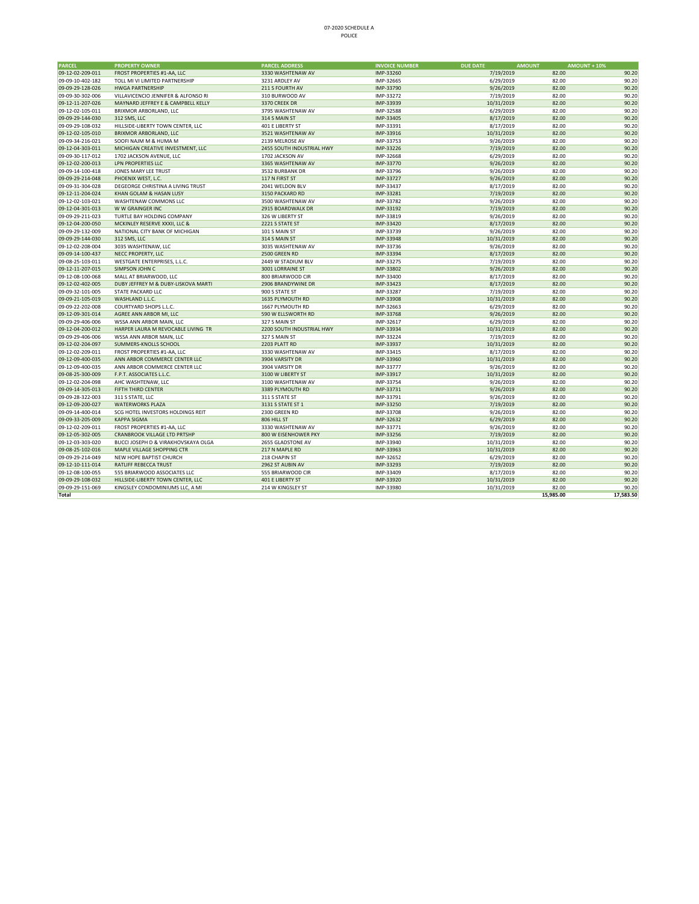## 07‐2020 SCHEDULE A POLICE

| <b>PARCEL</b>    | <b>PROPERTY OWNER</b>               | <b>PARCEL ADDRESS</b>     | <b>INVOICE NUMBER</b> | <b>DUE DATE</b><br><b>AMOUNT</b> | <b>AMOUNT + 10%</b> |           |
|------------------|-------------------------------------|---------------------------|-----------------------|----------------------------------|---------------------|-----------|
| 09-12-02-209-011 | FROST PROPERTIES #1-AA, LLC         | 3330 WASHTENAW AV         | IMP-33260             | 7/19/2019                        | 82.00               | 90.20     |
| 09-09-10-402-182 | TOLL MI VI LIMITED PARTNERSHIP      | 3231 ARDLEY AV            | IMP-32665             | 6/29/2019                        | 82.00               | 90.20     |
| 09-09-29-128-026 | <b>HWGA PARTNERSHIP</b>             | 211 S FOURTH AV           | IMP-33790             | 9/26/2019                        | 82.00               | 90.20     |
| 09-09-30-302-006 | VILLAVICENCIO JENNIFER & ALFONSO RI | 310 BURWOOD AV            | IMP-33272             | 7/19/2019                        | 82.00               | 90.20     |
| 09-12-11-207-026 | MAYNARD JEFFREY E & CAMPBELL KELLY  | 3370 CREEK DR             | IMP-33939             | 10/31/2019                       | 82.00               | 90.20     |
| 09-12-02-105-011 | BRIXMOR ARBORLAND, LLC              | 3795 WASHTENAW AV         | IMP-32588             | 6/29/2019                        | 82.00               | 90.20     |
| 09-09-29-144-030 | 312 SMS, LLC                        | 314 S MAIN ST             | IMP-33405             | 8/17/2019                        | 82.00               | 90.20     |
| 09-09-29-108-032 | HILLSIDE-LIBERTY TOWN CENTER, LLC   | 401 E LIBERTY ST          | IMP-33391             | 8/17/2019                        | 82.00               | 90.20     |
| 09-12-02-105-010 | BRIXMOR ARBORLAND, LLC              | 3521 WASHTENAW AV         | IMP-33916             | 10/31/2019                       | 82.00               | 90.20     |
| 09-09-34-216-021 | SOOFI NAJM M & HUMA M               | 2139 MELROSE AV           | IMP-33753             | 9/26/2019                        | 82.00               | 90.20     |
| 09-12-04-303-011 | MICHIGAN CREATIVE INVESTMENT, LLC   | 2455 SOUTH INDUSTRIAL HWY | IMP-33226             | 7/19/2019                        | 82.00               | 90.20     |
| 09-09-30-117-012 | 1702 JACKSON AVENUE, LLC            | 1702 JACKSON AV           | IMP-32668             | 6/29/2019                        | 82.00               | 90.20     |
| 09-12-02-200-013 | <b>LPN PROPERTIES LLC</b>           | 3365 WASHTENAW AV         | IMP-33770             | 9/26/2019                        | 82.00               | 90.20     |
| 09-09-14-100-418 | JONES MARY LEE TRUST                | 3532 BURBANK DR           | IMP-33796             | 9/26/2019                        | 82.00               | 90.20     |
| 09-09-29-214-048 | PHOENIX WEST, L.C.                  | 117 N FIRST ST            | IMP-33727             | 9/26/2019                        | 82.00               | 90.20     |
| 09-09-31-304-028 | DEGEORGE CHRISTINA A LIVING TRUST   | 2041 WELDON BLV           | IMP-33437             | 8/17/2019                        | 82.00               | 90.20     |
| 09-12-11-204-024 | KHAN GOLAM & HASAN LUSY             | 3150 PACKARD RD           | IMP-33281             | 7/19/2019                        | 82.00               | 90.20     |
| 09-12-02-103-021 | WASHTENAW COMMONS LLC               | 3500 WASHTENAW AV         | IMP-33782             | 9/26/2019                        | 82.00               | 90.20     |
| 09-12-04-301-013 | W W GRAINGER INC                    | 2915 BOARDWALK DR         | IMP-33192             | 7/19/2019                        | 82.00               | 90.20     |
| 09-09-29-211-023 | TURTLE BAY HOLDING COMPANY          | 326 W LIBERTY ST          | IMP-33819             | 9/26/2019                        | 82.00               | 90.20     |
| 09-12-04-200-050 | MCKINLEY RESERVE XXXII, LLC &       | 2221 S STATE ST           | IMP-33420             | 8/17/2019                        | 82.00               | 90.20     |
| 09-09-29-132-009 | NATIONAL CITY BANK OF MICHIGAN      | 101 S MAIN ST             | IMP-33739             | 9/26/2019                        | 82.00               | 90.20     |
| 09-09-29-144-030 | 312 SMS, LLC                        | 314 S MAIN ST             | IMP-33948             | 10/31/2019                       | 82.00               | 90.20     |
| 09-12-02-208-004 | 3035 WASHTENAW, LLC                 | 3035 WASHTENAW AV         | IMP-33736             | 9/26/2019                        | 82.00               | 90.20     |
| 09-09-14-100-437 | NECC PROPERTY, LLC                  | 2500 GREEN RD             | IMP-33394             | 8/17/2019                        | 82.00               | 90.20     |
| 09-08-25-103-011 | WESTGATE ENTERPRISES, L.L.C.        | 2449 W STADIUM BLV        | IMP-33275             | 7/19/2019                        | 82.00               | 90.20     |
| 09-12-11-207-015 | SIMPSON JOHN C                      | 3001 LORRAINE ST          | IMP-33802             | 9/26/2019                        | 82.00               | 90.20     |
| 09-12-08-100-068 | MALL AT BRIARWOOD, LLC              | 800 BRIARWOOD CIR         | IMP-33400             | 8/17/2019                        | 82.00               | 90.20     |
| 09-12-02-402-005 | DUBY JEFFREY M & DUBY-LISKOVA MARTI | 2906 BRANDYWINE DR        | IMP-33423             | 8/17/2019                        | 82.00               | 90.20     |
| 09-09-32-101-005 | STATE PACKARD LLC                   | 900 S STATE ST            | IMP-33287             | 7/19/2019                        | 82.00               | 90.20     |
| 09-09-21-105-019 | WASHLAND L.L.C.                     | 1635 PLYMOUTH RD          | IMP-33908             | 10/31/2019                       | 82.00               | 90.20     |
| 09-09-22-202-008 | COURTYARD SHOPS L.L.C.              | 1667 PLYMOUTH RD          | IMP-32663             | 6/29/2019                        | 82.00               | 90.20     |
| 09-12-09-301-014 | AGREE ANN ARBOR MI, LLC             | 590 W ELLSWORTH RD        | IMP-33768             | 9/26/2019                        | 82.00               | 90.20     |
| 09-09-29-406-006 | WSSA ANN ARBOR MAIN, LLC            | 327 S MAIN ST             | IMP-32617             | 6/29/2019                        | 82.00               | 90.20     |
| 09-12-04-200-012 | HARPER LAURA M REVOCABLE LIVING TR  | 2200 SOUTH INDUSTRIAL HWY | IMP-33934             | 10/31/2019                       | 82.00               | 90.20     |
| 09-09-29-406-006 | WSSA ANN ARBOR MAIN, LLC            | 327 S MAIN ST             | IMP-33224             | 7/19/2019                        | 82.00               | 90.20     |
| 09-12-02-204-097 | SUMMERS-KNOLLS SCHOOL               | 2203 PLATT RD             | IMP-33937             | 10/31/2019                       | 82.00               | 90.20     |
| 09-12-02-209-011 | FROST PROPERTIES #1-AA, LLC         | 3330 WASHTENAW AV         | IMP-33415             | 8/17/2019                        | 82.00               | 90.20     |
| 09-12-09-400-035 | ANN ARBOR COMMERCE CENTER LLC       | 3904 VARSITY DR           | IMP-33960             | 10/31/2019                       | 82.00               | 90.20     |
| 09-12-09-400-035 | ANN ARBOR COMMERCE CENTER LLC       | 3904 VARSITY DR           | IMP-33777             | 9/26/2019                        | 82.00               | 90.20     |
| 09-08-25-300-009 | F.P.T. ASSOCIATES L.L.C.            | 3100 W LIBERTY ST         | IMP-33917             | 10/31/2019                       | 82.00               | 90.20     |
| 09-12-02-204-098 | AHC WASHTENAW, LLC                  | 3100 WASHTENAW AV         | IMP-33754             | 9/26/2019                        | 82.00               | 90.20     |
| 09-09-14-305-013 | FIFTH THIRD CENTER                  | 3389 PLYMOUTH RD          | IMP-33731             | 9/26/2019                        | 82.00               | 90.20     |
| 09-09-28-322-003 | 311 S STATE, LLC                    | 311 S STATE ST            | IMP-33791             | 9/26/2019                        | 82.00               | 90.20     |
| 09-12-09-200-027 | <b>WATERWORKS PLAZA</b>             | 3131 S STATE ST 1         | IMP-33250             | 7/19/2019                        | 82.00               | 90.20     |
| 09-09-14-400-014 | SCG HOTEL INVESTORS HOLDINGS REIT   | 2300 GREEN RD             | IMP-33708             | 9/26/2019                        | 82.00               | 90.20     |
| 09-09-33-205-009 | <b>KAPPA SIGMA</b>                  | 806 HILL ST               | IMP-32632             | 6/29/2019                        | 82.00               | 90.20     |
| 09-12-02-209-011 | FROST PROPERTIES #1-AA, LLC         | 3330 WASHTENAW AV         | IMP-33771             | 9/26/2019                        | 82.00               | 90.20     |
| 09-12-05-302-005 | CRANBROOK VILLAGE LTD PRTSHP        | 800 W EISENHOWER PKY      | IMP-33256             | 7/19/2019                        | 82.00               | 90.20     |
| 09-12-03-303-020 | BUCCI JOSEPH D & VIRAKHOVSKAYA OLGA | 2655 GLADSTONE AV         | IMP-33940             | 10/31/2019                       | 82.00               | 90.20     |
| 09-08-25-102-016 | MAPLE VILLAGE SHOPPING CTR          | 217 N MAPLE RD            | IMP-33963             | 10/31/2019                       | 82.00               | 90.20     |
| 09-09-29-214-049 | NEW HOPE BAPTIST CHURCH             | 218 CHAPIN ST             | IMP-32652             | 6/29/2019                        | 82.00               | 90.20     |
| 09-12-10-111-014 | RATLIFF REBECCA TRUST               | 2962 ST AUBIN AV          | IMP-33293             | 7/19/2019                        | 82.00               | 90.20     |
| 09-12-08-100-055 | 555 BRIARWOOD ASSOCIATES LLC        | 555 BRIARWOOD CIR         | IMP-33409             | 8/17/2019                        | 82.00               | 90.20     |
| 09-09-29-108-032 | HILLSIDE-LIBERTY TOWN CENTER, LLC   | 401 E LIBERTY ST          | IMP-33920             | 10/31/2019                       | 82.00               | 90.20     |
| 09-09-29-151-069 | KINGSLEY CONDOMINIUMS LLC, A MI     | 214 W KINGSLEY ST         | IMP-33980             | 10/31/2019                       | 82.00               | 90.20     |
| <b>Total</b>     |                                     |                           |                       |                                  | 15,985.00           | 17,583.50 |
|                  |                                     |                           |                       |                                  |                     |           |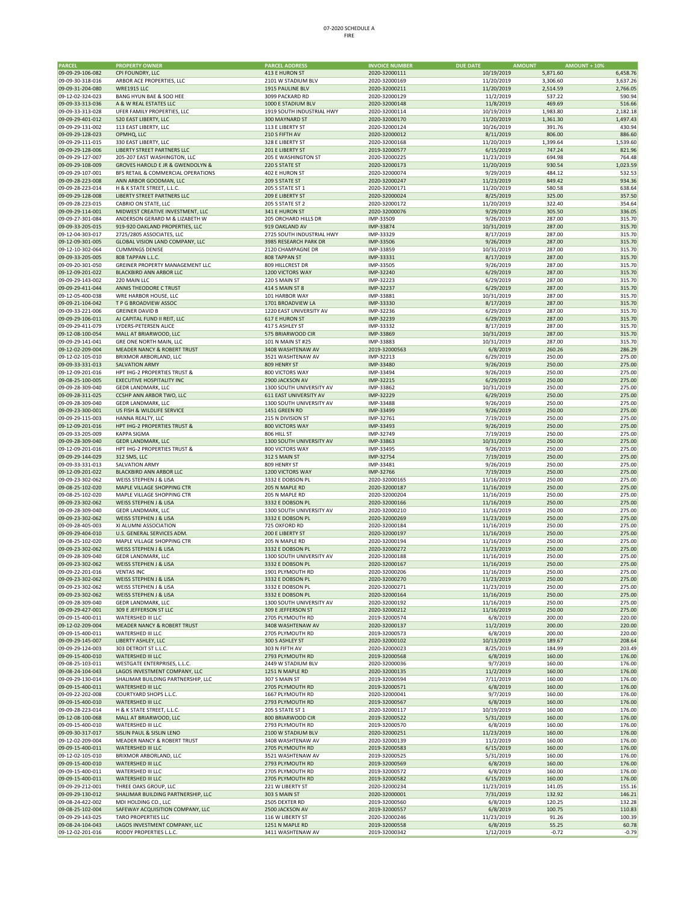| PARCEL                               | <b>PROPERTY OWNER</b>                                 | <b>PARCEL ADDRESS</b>     | <b>INVOICE NUMBER</b>  | <b>DUE DATE</b>         | <b>AMOUNT</b><br><b>AMOUNT + 10%</b> |                    |
|--------------------------------------|-------------------------------------------------------|---------------------------|------------------------|-------------------------|--------------------------------------|--------------------|
| 09-09-29-106-082                     | CPI FOUNDRY, LLC                                      | 413 E HURON ST            | 2020-32000111          | 10/19/2019              | 5,871.60                             | 6,458.76           |
| 09-09-30-318-016                     | ARBOR ACE PROPERTIES, LLC                             | 2101 W STADIUM BLV        | 2020-32000169          | 11/20/2019              | 3,306.60                             | 3,637.26           |
|                                      | <b>WRE1915 LLC</b>                                    | 1915 PAULINE BLV          |                        |                         |                                      | 2,766.05           |
| 09-09-31-204-080                     |                                                       |                           | 2020-32000211          | 11/20/2019              | 2,514.59                             |                    |
| 09-12-02-324-023                     | BANG HYUN BAE & SOO HEE                               | 3099 PACKARD RD           | 2020-32000129          | 11/2/2019               | 537.22                               | 590.94             |
| 09-09-33-313-036                     | A & W REAL ESTATES LLC                                | 1000 E STADIUM BLV        | 2020-32000148          | 11/8/2019               | 469.69                               | 516.66             |
| 09-09-33-313-028<br>09-09-29-401-012 | UFER FAMILY PROPERTIES, LLC                           | 1919 SOUTH INDUSTRIAL HWY | 2020-32000114          | 10/19/2019              | 1,983.80                             | 2,182.18           |
|                                      | 520 EAST LIBERTY, LLC                                 | 300 MAYNARD ST            | 2020-32000170          | 11/20/2019              | 1,361.30                             | 1,497.43<br>430.94 |
| 09-09-29-131-002                     | 113 EAST LIBERTY, LLC                                 | 113 E LIBERTY ST          | 2020-32000124          | 10/26/2019<br>8/11/2019 | 391.76                               |                    |
| 09-09-29-128-023                     | OPMHQ, LLC                                            | 210 S FIFTH AV            | 2020-32000012          |                         | 806.00                               | 886.60             |
| 09-09-29-111-015                     | 330 EAST LIBERTY, LLC                                 | 328 E LIBERTY ST          | 2020-32000168          | 11/20/2019              | 1,399.64                             | 1,539.60           |
| 09-09-29-128-006                     | LIBERTY STREET PARTNERS LLC                           | 201 E LIBERTY ST          | 2019-32000577          | 6/15/2019               | 747.24                               | 821.96             |
| 09-09-29-127-007                     | 205-207 EAST WASHINGTON, LLC                          | 205 E WASHINGTON ST       | 2020-32000225          | 11/23/2019              | 694.98                               | 764.48             |
| 09-09-29-108-009                     | GROVES HAROLD E JR & GWENDOLYN &                      | 220 S STATE ST            | 2020-32000173          | 11/20/2019              | 930.54                               | 1,023.59           |
| 09-09-29-107-001                     | BFS RETAIL & COMMERCIAL OPERATIONS                    | 402 E HURON ST            | 2020-32000074          | 9/29/2019               | 484.12                               | 532.53             |
| 09-09-28-223-008                     | ANN ARBOR GOODMAN, LLC                                | 209 S STATE ST            | 2020-32000247          | 11/23/2019              | 849.42                               | 934.36             |
| 09-09-28-223-014                     | H & K STATE STREET, L.L.C.                            | 205 S STATE ST 1          | 2020-32000171          | 11/20/2019              | 580.58                               | 638.64             |
| 09-09-29-128-008                     | LIBERTY STREET PARTNERS LLC                           | 209 E LIBERTY ST          | 2020-32000024          | 8/25/2019               | 325.00                               | 357.50             |
| 09-09-28-223-015                     | CABRIO ON STATE, LLC                                  | 205 S STATE ST 2          | 2020-32000172          | 11/20/2019              | 322.40                               | 354.64             |
| 09-09-29-114-001                     | MIDWEST CREATIVE INVESTMENT. LLC                      | 341 E HURON ST            | 2020-32000076          | 9/29/2019               | 305.50                               | 336.05             |
| 09-09-27-301-084                     | ANDERSON GERARD M & LIZABETH W                        | 205 ORCHARD HILLS DR      | IMP-33509              | 9/26/2019               | 287.00                               | 315.70             |
| 09-09-33-205-015                     | 919-920 OAKLAND PROPERTIES, LLC                       | 919 OAKLAND AV            | IMP-33874              | 10/31/2019              | 287.00                               | 315.70             |
| 09-12-04-303-017                     | 2725/2805 ASSOCIATES, LLC                             | 2725 SOUTH INDUSTRIAL HWY | IMP-33329              | 8/17/2019               | 287.00                               | 315.70             |
| 09-12-09-301-005                     | GLOBAL VISION LAND COMPANY, LLC                       | 3985 RESEARCH PARK DR     | IMP-33506              | 9/26/2019               | 287.00                               | 315.70             |
| 09-12-10-302-064                     | <b>CUMMINGS DENISE</b>                                | 2120 CHAMPAGNE DR         | IMP-33859              | 10/31/2019              | 287.00                               | 315.70             |
| 09-09-33-205-005                     | 808 TAPPAN L.L.C.                                     | 808 TAPPAN ST             | IMP-33331              | 8/17/2019               | 287.00                               | 315.70             |
| 09-09-20-301-050                     | GREINER PROPERTY MANAGEMENT LLC                       | 809 HILLCREST DR          | IMP-33505              | 9/26/2019               | 287.00                               | 315.70             |
| 09-12-09-201-022                     | BLACKBIRD ANN ARBOR LLC                               | 1200 VICTORS WAY          | IMP-32240              | 6/29/2019               | 287.00                               | 315.70             |
| 09-09-29-143-002                     | 220 MAIN LLC                                          | 220 S MAIN ST             | IMP-32223              | 6/29/2019               | 287.00                               | 315.70             |
| 09-09-29-411-044                     | ANNIS THEODORE C TRUST                                | <b>414 S MAIN ST 8</b>    | IMP-32237              | 6/29/2019               | 287.00                               | 315.70             |
| 09-12-05-400-038                     | WRE HARBOR HOUSE, LLC                                 | 101 HARBOR WAY            | IMP-33881              | 10/31/2019              | 287.00                               | 315.70             |
| 09-09-21-104-042                     | T P G BROADVIEW ASSOC                                 | 1701 BROADVIEW LA         | IMP-33330              | 8/17/2019               | 287.00                               | 315.70             |
| 09-09-33-221-006                     | <b>GREINER DAVID B</b>                                | 1220 EAST UNIVERSITY AV   | IMP-32236              | 6/29/2019               | 287.00                               | 315.70             |
| 09-09-29-106-011                     | AJ CAPITAL FUND II REIT, LLC                          | 617 E HURON ST            | IMP-32239              | 6/29/2019               | 287.00                               | 315.70             |
| 09-09-29-411-079                     | LYDERS-PETERSEN ALICE                                 | 417 S ASHLEY ST           | IMP-33332              | 8/17/2019               | 287.00                               | 315.70             |
| 09-12-08-100-054                     | MALL AT BRIARWOOD, LLC                                | 575 BRIARWOOD CIR         | IMP-33869              | 10/31/2019              | 287.00                               | 315.70             |
| 09-09-29-141-041                     | GRE ONE NORTH MAIN, LLC                               | 101 N MAIN ST #25         | IMP-33883              | 10/31/2019              | 287.00                               | 315.70             |
| 09-12-02-209-004                     | <b>MEADER NANCY &amp; ROBERT TRUST</b>                | 3408 WASHTENAW AV         | 2019-32000563          | 6/8/2019                | 260.26                               | 286.29             |
| 09-12-02-105-010                     | BRIXMOR ARBORLAND, LLC                                | 3521 WASHTENAW AV         | IMP-32213              | 6/29/2019               | 250.00                               | 275.00             |
| 09-09-33-331-013                     |                                                       |                           |                        |                         |                                      |                    |
|                                      | <b>SALVATION ARMY</b><br>HPT IHG-2 PROPERTIES TRUST & | 809 HENRY ST              | IMP-33480<br>IMP-33494 | 9/26/2019               | 250.00                               | 275.00             |
| 09-12-09-201-016                     |                                                       | 800 VICTORS WAY           |                        | 9/26/2019               | 250.00                               | 275.00             |
| 09-08-25-100-005                     | <b>EXECUTIVE HOSPITALITY INC</b>                      | 2900 JACKSON AV           | IMP-32215              | 6/29/2019               | 250.00                               | 275.00             |
| 09-09-28-309-040                     | GEDR LANDMARK, LLC                                    | 1300 SOUTH UNIVERSITY AV  | IMP-33862              | 10/31/2019              | 250.00                               | 275.00             |
| 09-09-28-311-025                     | CCSHP ANN ARBOR TWO, LLC                              | 611 EAST UNIVERSITY AV    | IMP-32229              | 6/29/2019               | 250.00                               | 275.00             |
| 09-09-28-309-040                     | GEDR LANDMARK, LLC                                    | 1300 SOUTH UNIVERSITY AV  | IMP-33488              | 9/26/2019               | 250.00                               | 275.00             |
| 09-09-23-300-001                     | US FISH & WILDLIFE SERVICE                            | 1451 GREEN RD             | IMP-33499              | 9/26/2019               | 250.00                               | 275.00             |
| 09-09-29-115-003                     | HANNA REALTY, LLC                                     | 215 N DIVISION ST         | IMP-32761              | 7/19/2019               | 250.00                               | 275.00             |
| 09-12-09-201-016                     | HPT IHG-2 PROPERTIES TRUST &                          | 800 VICTORS WAY           | IMP-33493              | 9/26/2019               | 250.00                               | 275.00             |
| 09-09-33-205-009                     | <b>KAPPA SIGMA</b>                                    | 806 HILL ST               | IMP-32749              | 7/19/2019               | 250.00                               | 275.00             |
| 09-09-28-309-040                     | <b>GEDR LANDMARK, LLC</b>                             | 1300 SOUTH UNIVERSITY AV  | IMP-33863              | 10/31/2019              | 250.00                               | 275.00             |
| 09-12-09-201-016                     | HPT IHG-2 PROPERTIES TRUST &                          | 800 VICTORS WAY           | IMP-33495              | 9/26/2019               | 250.00                               | 275.00             |
| 09-09-29-144-029                     | 312 SMS, LLC                                          | 312 S MAIN ST             | IMP-32754              | 7/19/2019               | 250.00                               | 275.00             |
| 09-09-33-331-013                     | <b>SALVATION ARMY</b>                                 | 809 HENRY ST              | IMP-33481              | 9/26/2019               | 250.00                               | 275.00             |
| 09-12-09-201-022                     | <b>BLACKBIRD ANN ARBOR LLC</b>                        | 1200 VICTORS WAY          | IMP-32766              | 7/19/2019               | 250.00                               | 275.00             |
| 09-09-23-302-062                     | WEISS STEPHEN J & LISA                                | 3332 E DOBSON PL          | 2020-32000165          | 11/16/2019              | 250.00                               | 275.00             |
| 09-08-25-102-020                     | MAPLE VILLAGE SHOPPING CTR                            | 205 N MAPLE RD            | 2020-32000187          | 11/16/2019              | 250.00                               | 275.00             |
| 09-08-25-102-020                     | MAPLE VILLAGE SHOPPING CTR                            | 205 N MAPLE RD            | 2020-32000204          | 11/16/2019              | 250.00                               | 275.00             |
| 09-09-23-302-062                     | WEISS STEPHEN J & LISA                                | 3332 E DOBSON PL          | 2020-32000166          | 11/16/2019              | 250.00                               | 275.00             |
| 09-09-28-309-040                     | GEDR LANDMARK, LLC                                    | 1300 SOUTH UNIVERSITY AV  | 2020-32000210          | 11/16/2019              | 250.00                               | 275.00             |
| 09-09-23-302-062                     | WEISS STEPHEN J & LISA                                | 3332 E DOBSON PL          | 2020-32000269          | 11/23/2019              | 250.00                               | 275.00             |
| 09-09-28-405-003                     | XI ALUMNI ASSOCIATION                                 | 725 OXFORD RD             | 2020-32000184          | 11/16/2019              | 250.00                               | 275.00             |
| 09-09-29-404-010                     | U.S. GENERAL SERVICES ADM.                            | 200 E LIBERTY ST          | 2020-32000197          | 11/16/2019              | 250.00                               | 275.00             |
| 09-08-25-102-020                     | MAPLE VILLAGE SHOPPING CTR                            | 205 N MAPLE RD            | 2020-32000194          | 11/16/2019              | 250.00                               | 275.00             |
| 09-09-23-302-062                     | <b>WEISS STEPHEN J &amp; LISA</b>                     | 3332 E DOBSON PL          | 2020-32000272          | 11/23/2019              | 250.00                               | 275.00             |
| 09-09-28-309-040                     | GEDR LANDMARK, LLC                                    | 1300 SOUTH UNIVERSITY AV  | 2020-32000188          | 11/16/2019              | 250.00                               | 275.00             |
| 09-09-23-302-062                     | WEISS STEPHEN J & LISA                                | 3332 E DOBSON PL          | 2020-32000167          | 11/16/2019              | 250.00                               | 275.00             |
| 09-09-22-201-016                     | VENTAS INC                                            | 1901 PLYMOUTH RD          | 2020-32000206          | 11/16/2019              | 250.00                               | 275.00             |
| 09-09-23-302-062                     | WEISS STEPHEN J & LISA                                | 3332 E DOBSON PL          | 2020-32000270          | 11/23/2019              | 250.00                               | 275.00             |
| 09-09-23-302-062                     | WEISS STEPHEN J & LISA                                | 3332 E DOBSON PL          | 2020-32000271          | 11/23/2019              | 250.00                               | 275.00             |
| 09-09-23-302-062                     | WEISS STEPHEN J & LISA                                | 3332 E DOBSON PL          | 2020-32000164          | 11/16/2019              | 250.00                               | 275.00             |
| 09-09-28-309-040                     | GEDR LANDMARK, LLC                                    | 1300 SOUTH UNIVERSITY AV  | 2020-32000192          | 11/16/2019              | 250.00                               | 275.00             |
| 09-09-29-427-001                     | 309 E JEFFERSON ST LLC                                | 309 E JEFFERSON ST        | 2020-32000212          | 11/16/2019              | 250.00                               | 275.00             |
| 09-09-15-400-011                     | WATERSHED III LLC                                     | 2705 PLYMOUTH RD          | 2019-32000574          | 6/8/2019                | 200.00                               | 220.00             |
| 09-12-02-209-004                     | MEADER NANCY & ROBERT TRUST                           | 3408 WASHTENAW AV         | 2020-32000137          | 11/2/2019               | 200.00                               | 220.00             |
| 09-09-15-400-011                     | WATERSHED III LLC                                     | 2705 PLYMOUTH RD          | 2019-32000573          | 6/8/2019                | 200.00                               | 220.00             |
| 09-09-29-145-007                     | LIBERTY ASHLEY, LLC                                   | 300 S ASHLEY ST           | 2020-32000102          | 10/13/2019              | 189.67                               | 208.64             |
| 09-09-29-124-003                     | 303 DETROIT ST L.L.C.                                 | 303 N FIFTH AV            | 2020-32000023          | 8/25/2019               | 184.99                               | 203.49             |
| 09-09-15-400-010                     | WATERSHED III LLC                                     | 2793 PLYMOUTH RD          | 2019-32000568          | 6/8/2019                | 160.00                               | 176.00             |
| 09-08-25-103-011                     | WESTGATE ENTERPRISES, L.L.C.                          | 2449 W STADIUM BLV        | 2020-32000036          | 9/7/2019                | 160.00                               | 176.00             |
| 09-08-24-104-043                     | LAGOS INVESTMENT COMPANY, LLC                         | 1251 N MAPLE RD           | 2020-32000135          | 11/2/2019               | 160.00                               | 176.00             |
| 09-09-29-130-014                     | SHALIMAR BUILDING PARTNERSHIP, LLC                    | 307 S MAIN ST             | 2019-32000594          | 7/11/2019               | 160.00                               | 176.00             |
| 09-09-15-400-011                     | <b>WATERSHED III LLC</b>                              | 2705 PLYMOUTH RD          | 2019-32000571          | 6/8/2019                | 160.00                               | 176.00             |
| 09-09-22-202-008                     | COURTYARD SHOPS L.L.C.                                | 1667 PLYMOUTH RD          | 2020-32000041          | 9/7/2019                | 160.00                               | 176.00             |
| 09-09-15-400-010                     | WATERSHED III LLC                                     | 2793 PLYMOUTH RD          | 2019-32000567          | 6/8/2019                | 160.00                               | 176.00             |
| 09-09-28-223-014                     | H & K STATE STREET, L.L.C.                            | 205 S STATE ST 1          | 2020-32000117          | 10/19/2019              | 160.00                               | 176.00             |
| 09-12-08-100-068                     | MALL AT BRIARWOOD, LLC                                | 800 BRIARWOOD CIR         | 2019-32000522          | 5/31/2019               | 160.00                               | 176.00             |
| 09-09-15-400-010                     | WATERSHED III LLC                                     | 2793 PLYMOUTH RD          | 2019-32000570          | 6/8/2019                | 160.00                               | 176.00             |
| 09-09-30-317-017                     | SISLIN PAUL & SISLIN LENO                             | 2100 W STADIUM BLV        | 2020-32000251          | 11/23/2019              | 160.00                               | 176.00             |
| 09-12-02-209-004                     | MEADER NANCY & ROBERT TRUST                           | 3408 WASHTENAW AV         | 2020-32000139          | 11/2/2019               | 160.00                               | 176.00             |
| 09-09-15-400-011                     | WATERSHED III LLC                                     | 2705 PLYMOUTH RD          | 2019-32000583          | 6/15/2019               | 160.00                               | 176.00             |
| 09-12-02-105-010                     | BRIXMOR ARBORLAND, LLC                                | 3521 WASHTENAW AV         | 2019-32000525          | 5/31/2019               | 160.00                               | 176.00             |
| 09-09-15-400-010                     | WATERSHED III LLC                                     | 2793 PLYMOUTH RD          | 2019-32000569          | 6/8/2019                | 160.00                               | 176.00             |
| 09-09-15-400-011                     | WATERSHED III LLC                                     | 2705 PLYMOUTH RD          | 2019-32000572          | 6/8/2019                | 160.00                               | 176.00             |
| 09-09-15-400-011                     | WATERSHED III LLC                                     | 2705 PLYMOUTH RD          | 2019-32000582          | 6/15/2019               | 160.00                               | 176.00             |
| 09-09-29-212-001                     | THREE OAKS GROUP, LLC                                 | 221 W LIBERTY ST          | 2020-32000234          | 11/23/2019              | 141.05                               | 155.16             |
| 09-09-29-130-012                     | SHALIMAR BUILDING PARTNERSHIP, LLC                    | 303 S MAIN ST             | 2020-32000001          | 7/31/2019               | 132.92                               | 146.21             |
| 09-08-24-422-002                     | MDI HOLDING CO., LLC                                  | 2505 DEXTER RD            | 2019-32000560          | 6/8/2019                | 120.25                               | 132.28             |
| 09-08-25-102-004                     | SAFEWAY ACQUISITION COMPANY, LLC                      | 2500 JACKSON AV           | 2019-32000557          | 6/8/2019                | 100.75                               | 110.83             |
| 09-09-29-143-025                     | <b>TARO PROPERTIES LLC</b>                            | 116 W LIBERTY ST          | 2020-32000246          | 11/23/2019              | 91.26                                | 100.39             |
| 09-08-24-104-043                     | LAGOS INVESTMENT COMPANY, LLC                         | 1251 N MAPLE RD           | 2019-32000558          | 6/8/2019                | 55.25                                | 60.78              |
| 09-12-02-201-016                     | RODDY PROPERTIES L.L.C.                               | 3411 WASHTENAW AV         | 2019-32000342          | 1/12/2019               | $-0.72$                              | $-0.79$            |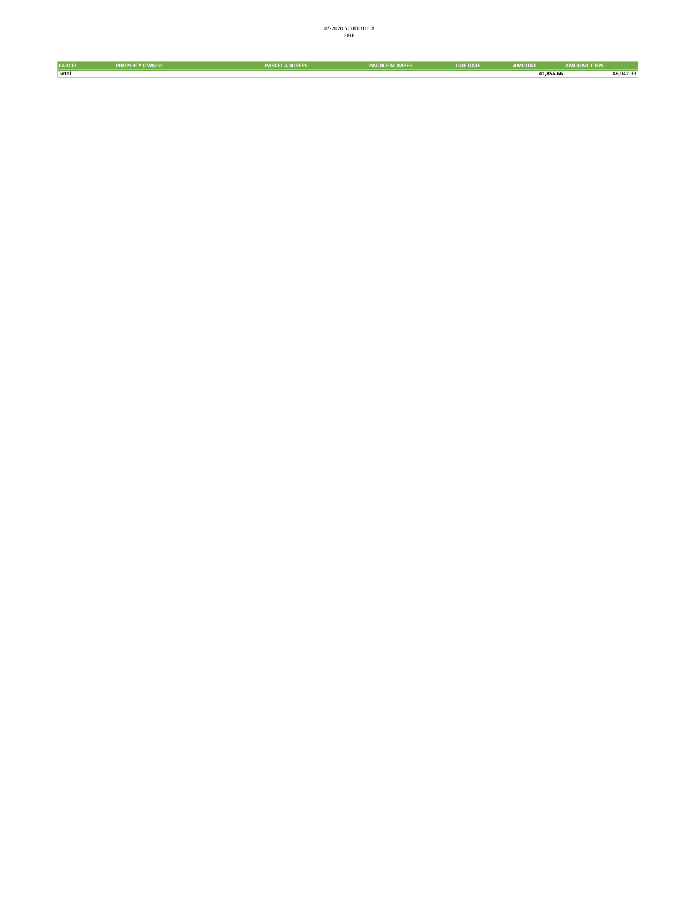| <b>PARCEL</b> | <b>PROPERTY OWNER</b> | <b>PARCEL ADDRESS</b> | <b>INVOICE NUMBER</b> | <b>DUE DATE</b> | <b>AMOUNT</b> | <b>AMOUNT + 10%</b> |           |
|---------------|-----------------------|-----------------------|-----------------------|-----------------|---------------|---------------------|-----------|
| Total         |                       |                       |                       |                 | 41,856.66     |                     | 46,042.33 |